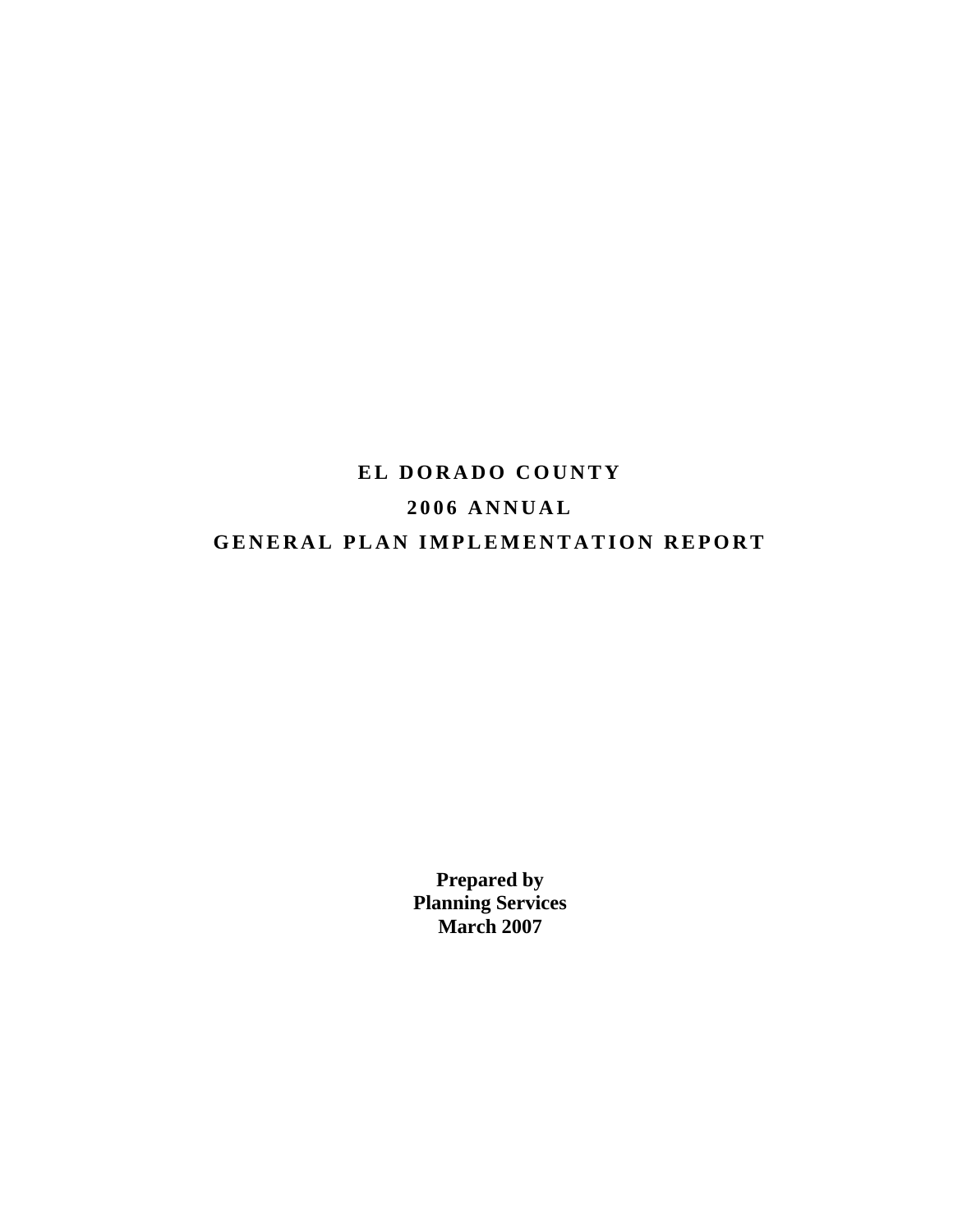# **EL DORADO COUNTY 2006 ANNUAL GENERAL PLAN IMPLEMENTATION REPORT**

**Prepared by Planning Services March 2007**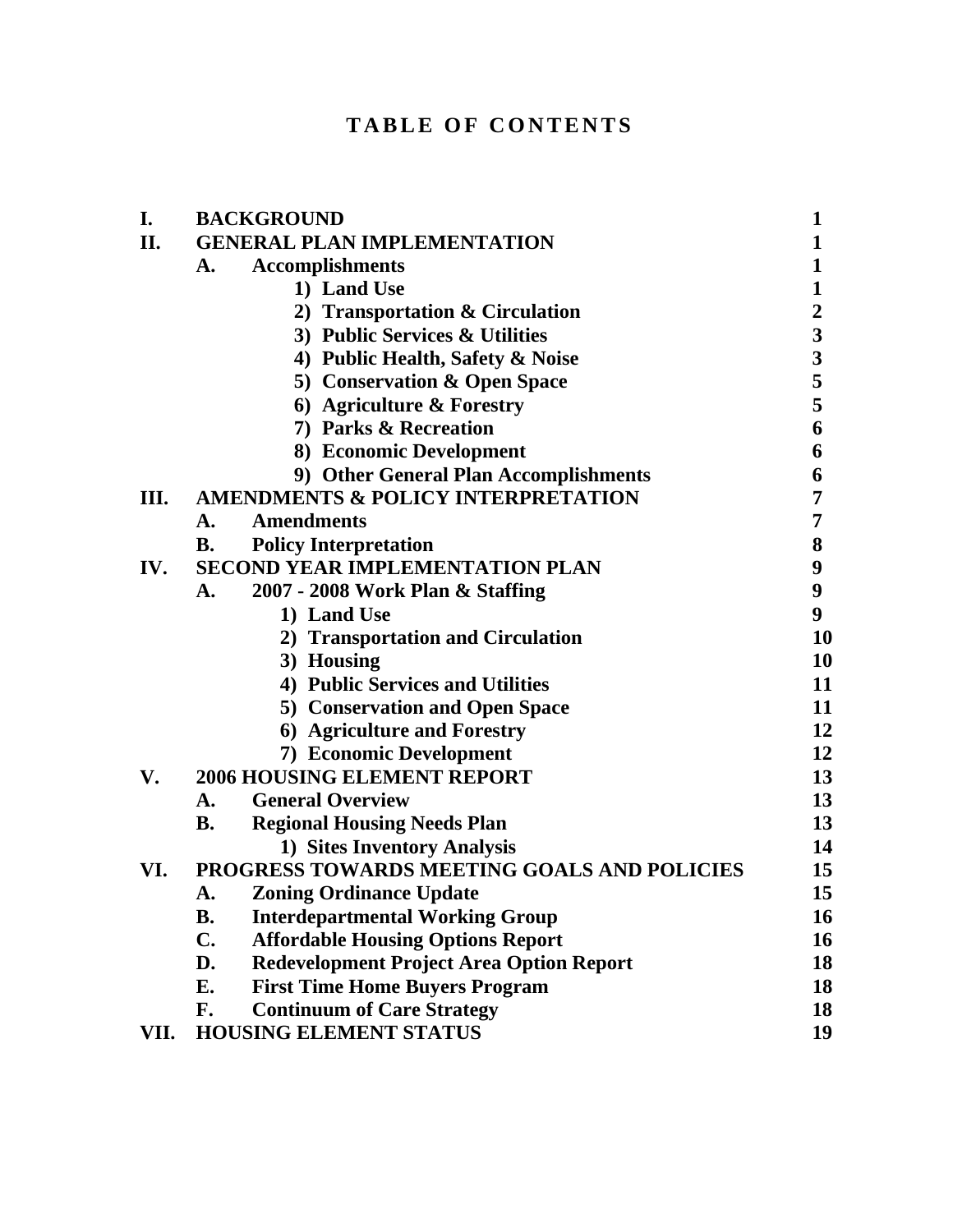# **TABLE OF CONTENTS**

| I.   | <b>BACKGROUND</b>                                          | 1                       |
|------|------------------------------------------------------------|-------------------------|
| II.  | <b>GENERAL PLAN IMPLEMENTATION</b>                         | 1                       |
|      | <b>Accomplishments</b><br>A.                               | 1                       |
|      | 1) Land Use                                                | $\mathbf{1}$            |
|      | 2) Transportation & Circulation                            | $\boldsymbol{2}$        |
|      | 3) Public Services & Utilities                             | $\overline{\mathbf{3}}$ |
|      | 4) Public Health, Safety & Noise                           | $\overline{\mathbf{3}}$ |
|      | 5) Conservation & Open Space                               | 5                       |
|      | 6) Agriculture & Forestry                                  | 5                       |
|      | 7) Parks & Recreation                                      | 6                       |
|      | 8) Economic Development                                    | 6                       |
|      | 9) Other General Plan Accomplishments                      | 6                       |
| Ш.   | <b>AMENDMENTS &amp; POLICY INTERPRETATION</b>              | 7                       |
|      | <b>Amendments</b><br>А.                                    | 7                       |
|      | <b>B.</b><br><b>Policy Interpretation</b>                  | 8                       |
| IV.  | <b>SECOND YEAR IMPLEMENTATION PLAN</b>                     | 9                       |
|      | 2007 - 2008 Work Plan & Staffing<br>A.                     | $\boldsymbol{9}$        |
|      | 1) Land Use                                                | 9                       |
|      | 2) Transportation and Circulation                          | 10                      |
|      | 3) Housing                                                 | 10                      |
|      | 4) Public Services and Utilities                           | 11                      |
|      | <b>5) Conservation and Open Space</b>                      | 11                      |
|      | 6) Agriculture and Forestry                                | 12                      |
|      | 7) Economic Development                                    | 12                      |
| V.   | <b>2006 HOUSING ELEMENT REPORT</b>                         | 13                      |
|      | <b>General Overview</b><br>А.                              | 13                      |
|      | <b>B.</b><br><b>Regional Housing Needs Plan</b>            | 13                      |
|      | 1) Sites Inventory Analysis                                | 14                      |
| VI.  | PROGRESS TOWARDS MEETING GOALS AND POLICIES                | 15                      |
|      | <b>Zoning Ordinance Update</b><br>A.                       | 15                      |
|      | <b>B.</b><br><b>Interdepartmental Working Group</b>        | 16                      |
|      | $\mathbf{C}$ .<br><b>Affordable Housing Options Report</b> | 16                      |
|      | D.<br><b>Redevelopment Project Area Option Report</b>      | 18                      |
|      | <b>First Time Home Buyers Program</b><br>E.                | 18                      |
|      | F.<br><b>Continuum of Care Strategy</b>                    | 18                      |
| VII. | <b>HOUSING ELEMENT STATUS</b>                              | 19                      |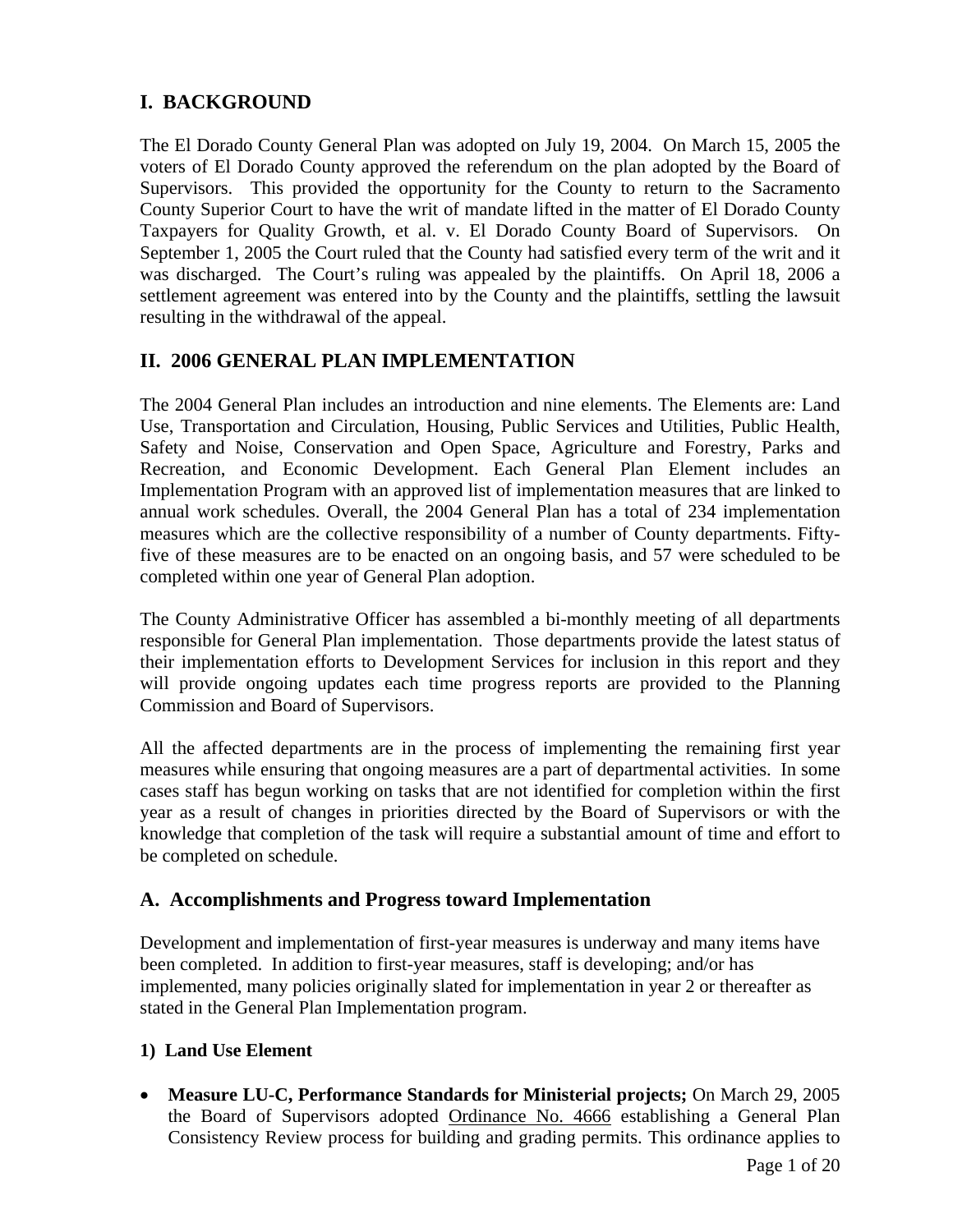# **I. BACKGROUND**

The El Dorado County General Plan was adopted on July 19, 2004. On March 15, 2005 the voters of El Dorado County approved the referendum on the plan adopted by the Board of Supervisors. This provided the opportunity for the County to return to the Sacramento County Superior Court to have the writ of mandate lifted in the matter of El Dorado County Taxpayers for Quality Growth, et al. v. El Dorado County Board of Supervisors. On September 1, 2005 the Court ruled that the County had satisfied every term of the writ and it was discharged. The Court's ruling was appealed by the plaintiffs. On April 18, 2006 a settlement agreement was entered into by the County and the plaintiffs, settling the lawsuit resulting in the withdrawal of the appeal.

### **II. 2006 GENERAL PLAN IMPLEMENTATION**

The 2004 General Plan includes an introduction and nine elements. The Elements are: Land Use, Transportation and Circulation, Housing, Public Services and Utilities, Public Health, Safety and Noise, Conservation and Open Space, Agriculture and Forestry, Parks and Recreation, and Economic Development. Each General Plan Element includes an Implementation Program with an approved list of implementation measures that are linked to annual work schedules. Overall, the 2004 General Plan has a total of 234 implementation measures which are the collective responsibility of a number of County departments. Fiftyfive of these measures are to be enacted on an ongoing basis, and 57 were scheduled to be completed within one year of General Plan adoption.

The County Administrative Officer has assembled a bi-monthly meeting of all departments responsible for General Plan implementation. Those departments provide the latest status of their implementation efforts to Development Services for inclusion in this report and they will provide ongoing updates each time progress reports are provided to the Planning Commission and Board of Supervisors.

All the affected departments are in the process of implementing the remaining first year measures while ensuring that ongoing measures are a part of departmental activities. In some cases staff has begun working on tasks that are not identified for completion within the first year as a result of changes in priorities directed by the Board of Supervisors or with the knowledge that completion of the task will require a substantial amount of time and effort to be completed on schedule.

#### **A. Accomplishments and Progress toward Implementation**

Development and implementation of first-year measures is underway and many items have been completed. In addition to first-year measures, staff is developing; and/or has implemented, many policies originally slated for implementation in year 2 or thereafter as stated in the General Plan Implementation program.

#### **1) Land Use Element**

• **Measure LU-C, Performance Standards for Ministerial projects;** On March 29, 2005 the Board of Supervisors adopted [Ordinance No. 4666](http://www.co.el-dorado.ca.us/DevServices/pdf/Ordinance4666.pdf) establishing a General Plan Consistency Review process for building and grading permits. This ordinance applies to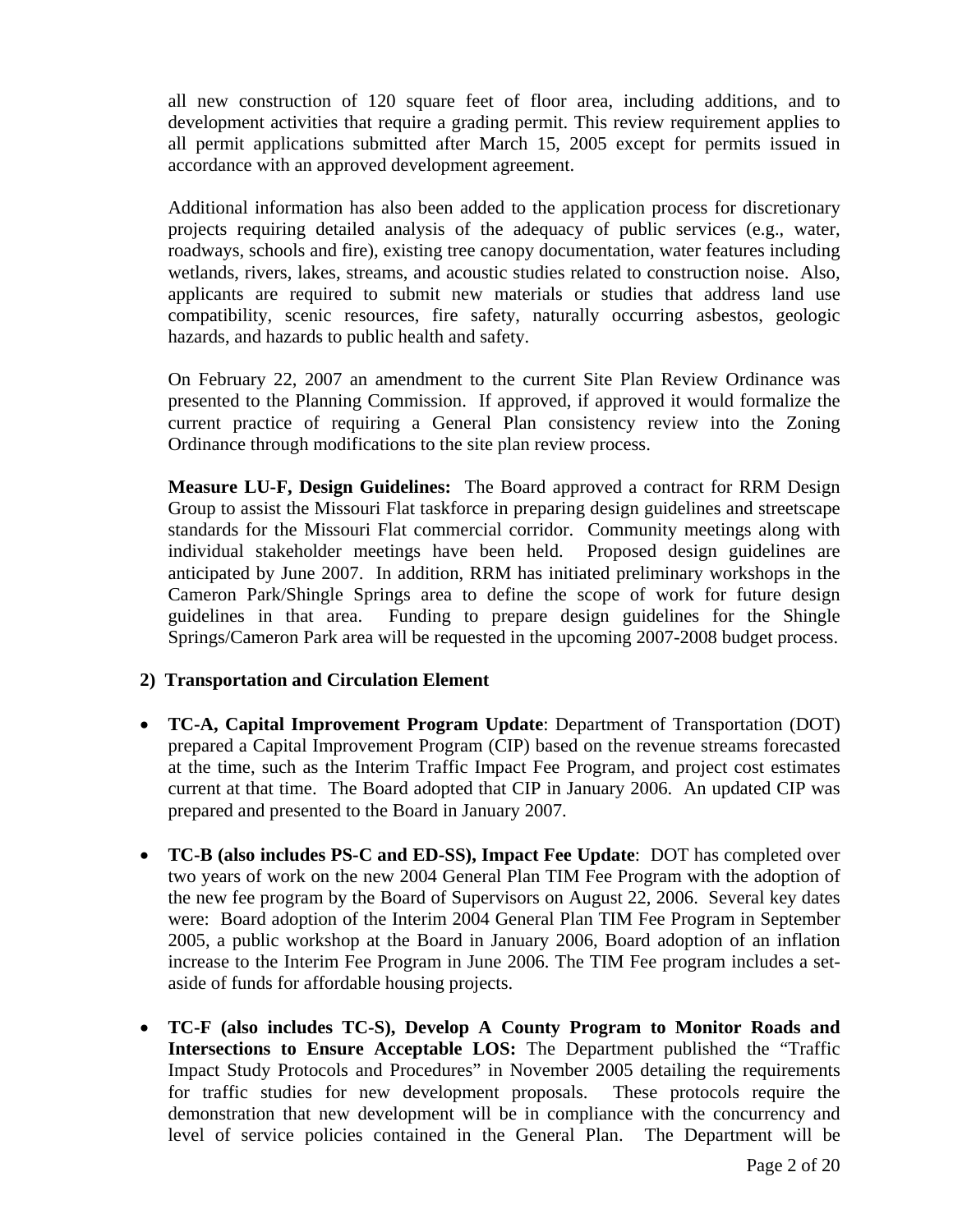all new construction of 120 square feet of floor area, including additions, and to development activities that require a grading permit. This review requirement applies to all permit applications submitted after March 15, 2005 except for permits issued in accordance with an approved development agreement.

Additional information has also been added to the application process for discretionary projects requiring detailed analysis of the adequacy of public services (e.g., water, roadways, schools and fire), existing tree canopy documentation, water features including wetlands, rivers, lakes, streams, and acoustic studies related to construction noise. Also, applicants are required to submit new materials or studies that address land use compatibility, scenic resources, fire safety, naturally occurring asbestos, geologic hazards, and hazards to public health and safety.

On February 22, 2007 an amendment to the current Site Plan Review Ordinance was presented to the Planning Commission. If approved, if approved it would formalize the current practice of requiring a General Plan consistency review into the Zoning Ordinance through modifications to the site plan review process.

**Measure LU-F, Design Guidelines:** The Board approved a contract for RRM Design Group to assist the Missouri Flat taskforce in preparing design guidelines and streetscape standards for the Missouri Flat commercial corridor. Community meetings along with individual stakeholder meetings have been held. Proposed design guidelines are anticipated by June 2007. In addition, RRM has initiated preliminary workshops in the Cameron Park/Shingle Springs area to define the scope of work for future design guidelines in that area. Funding to prepare design guidelines for the Shingle Springs/Cameron Park area will be requested in the upcoming 2007-2008 budget process.

#### **2) Transportation and Circulation Element**

- **TC-A, Capital Improvement Program Update**: Department of Transportation (DOT) prepared a Capital Improvement Program (CIP) based on the revenue streams forecasted at the time, such as the Interim Traffic Impact Fee Program, and project cost estimates current at that time. The Board adopted that CIP in January 2006. An updated CIP was prepared and presented to the Board in January 2007.
- **TC-B (also includes PS-C and ED-SS), Impact Fee Update**: DOT has completed over two years of work on the new 2004 General Plan TIM Fee Program with the adoption of the new fee program by the Board of Supervisors on August 22, 2006. Several key dates were: Board adoption of the Interim 2004 General Plan TIM Fee Program in September 2005, a public workshop at the Board in January 2006, Board adoption of an inflation increase to the Interim Fee Program in June 2006. The TIM Fee program includes a setaside of funds for affordable housing projects.
- **TC-F (also includes TC-S), Develop A County Program to Monitor Roads and Intersections to Ensure Acceptable LOS:** The Department published the "Traffic Impact Study Protocols and Procedures" in November 2005 detailing the requirements for traffic studies for new development proposals. These protocols require the demonstration that new development will be in compliance with the concurrency and level of service policies contained in the General Plan. The Department will be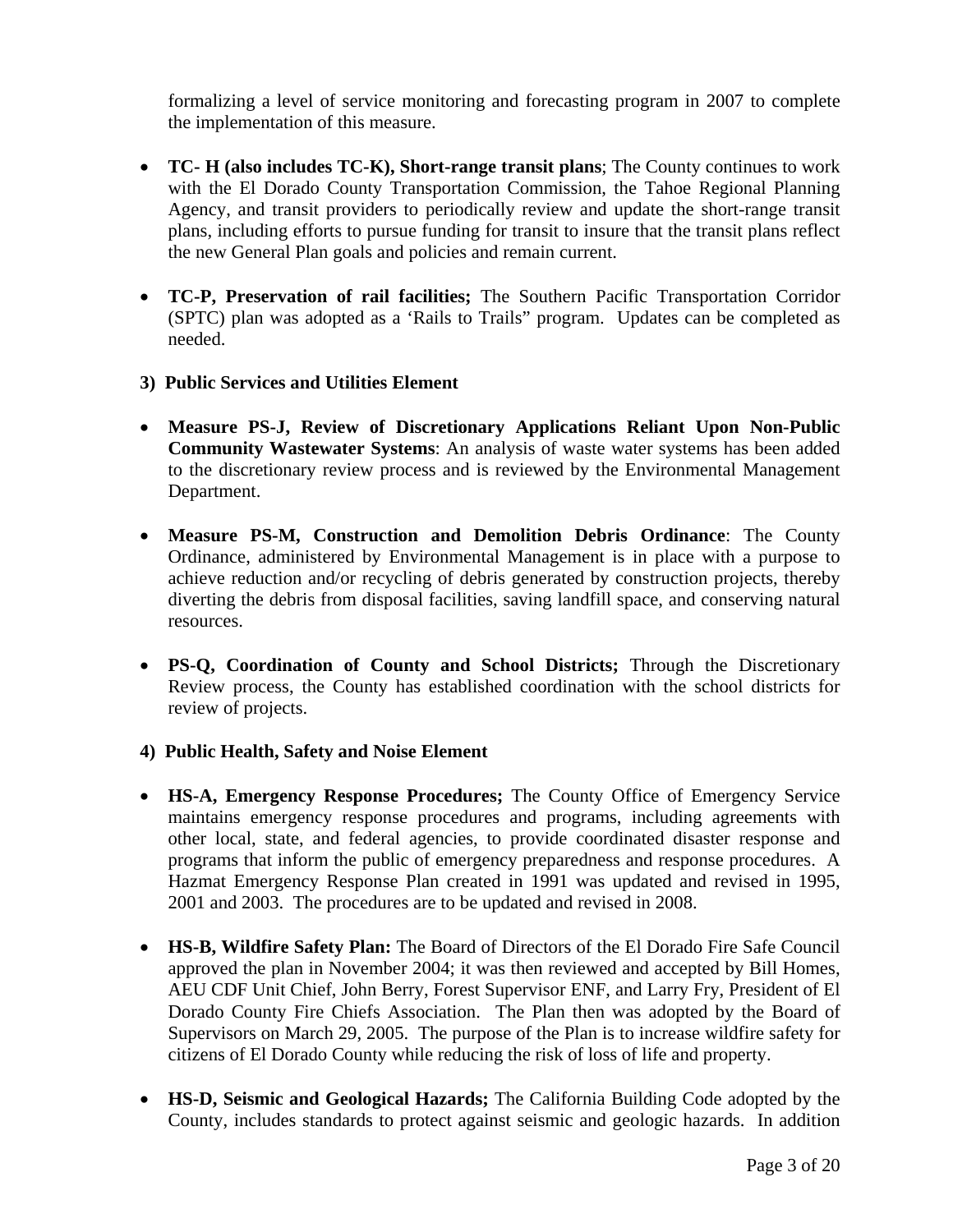formalizing a level of service monitoring and forecasting program in 2007 to complete the implementation of this measure.

- **TC- H (also includes TC-K), Short-range transit plans**; The County continues to work with the El Dorado County Transportation Commission, the Tahoe Regional Planning Agency, and transit providers to periodically review and update the short-range transit plans, including efforts to pursue funding for transit to insure that the transit plans reflect the new General Plan goals and policies and remain current.
- **TC-P, Preservation of rail facilities;** The Southern Pacific Transportation Corridor (SPTC) plan was adopted as a 'Rails to Trails" program. Updates can be completed as needed.
- **3) Public Services and Utilities Element**
- **Measure PS-J, Review of Discretionary Applications Reliant Upon Non-Public Community Wastewater Systems**: An analysis of waste water systems has been added to the discretionary review process and is reviewed by the Environmental Management Department.
- **Measure PS-M, Construction and Demolition Debris Ordinance**: The County Ordinance, administered by Environmental Management is in place with a purpose to achieve reduction and/or recycling of debris generated by construction projects, thereby diverting the debris from disposal facilities, saving landfill space, and conserving natural resources.
- **PS-Q, Coordination of County and School Districts;** Through the Discretionary Review process, the County has established coordination with the school districts for review of projects.
- **4) Public Health, Safety and Noise Element**
- **HS-A, Emergency Response Procedures;** The County Office of Emergency Service maintains emergency response procedures and programs, including agreements with other local, state, and federal agencies, to provide coordinated disaster response and programs that inform the public of emergency preparedness and response procedures. A Hazmat Emergency Response Plan created in 1991 was updated and revised in 1995, 2001 and 2003. The procedures are to be updated and revised in 2008.
- **HS-B, Wildfire Safety Plan:** The Board of Directors of the El Dorado Fire Safe Council approved the plan in November 2004; it was then reviewed and accepted by Bill Homes, AEU CDF Unit Chief, John Berry, Forest Supervisor ENF, and Larry Fry, President of El Dorado County Fire Chiefs Association. The Plan then was adopted by the Board of Supervisors on March 29, 2005. The purpose of the Plan is to increase wildfire safety for citizens of El Dorado County while reducing the risk of loss of life and property.
- **HS-D, Seismic and Geological Hazards;** The California Building Code adopted by the County, includes standards to protect against seismic and geologic hazards. In addition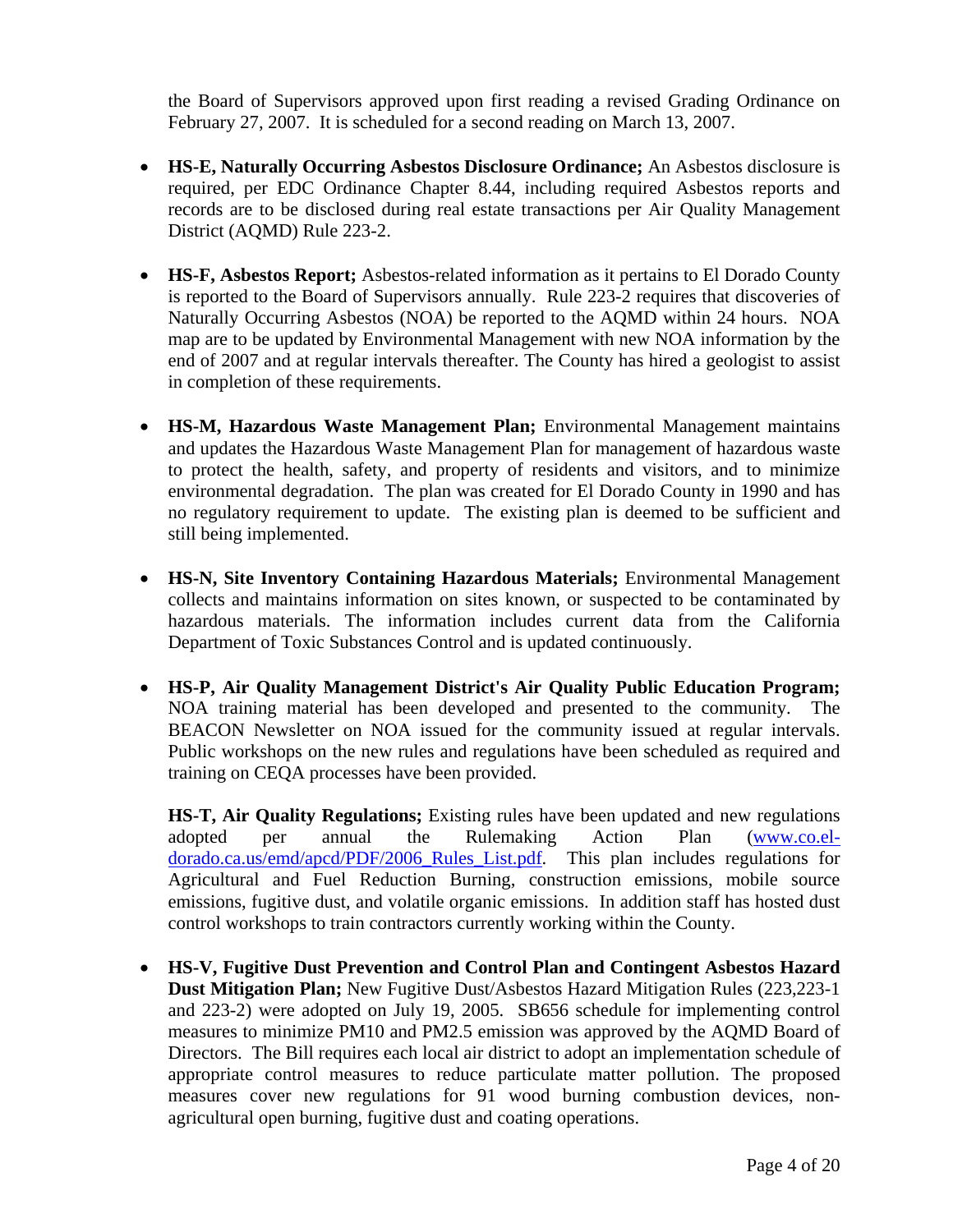the Board of Supervisors approved upon first reading a revised Grading Ordinance on February 27, 2007. It is scheduled for a second reading on March 13, 2007.

- **HS-E, Naturally Occurring Asbestos Disclosure Ordinance;** An Asbestos disclosure is required, per EDC Ordinance Chapter 8.44, including required Asbestos reports and records are to be disclosed during real estate transactions per Air Quality Management District (AQMD) Rule 223-2.
- **HS-F, Asbestos Report;** Asbestos-related information as it pertains to El Dorado County is reported to the Board of Supervisors annually. Rule 223-2 requires that discoveries of Naturally Occurring Asbestos (NOA) be reported to the AQMD within 24 hours. NOA map are to be updated by Environmental Management with new NOA information by the end of 2007 and at regular intervals thereafter. The County has hired a geologist to assist in completion of these requirements.
- **HS-M, Hazardous Waste Management Plan;** Environmental Management maintains and updates the Hazardous Waste Management Plan for management of hazardous waste to protect the health, safety, and property of residents and visitors, and to minimize environmental degradation. The plan was created for El Dorado County in 1990 and has no regulatory requirement to update. The existing plan is deemed to be sufficient and still being implemented.
- **HS-N, Site Inventory Containing Hazardous Materials;** Environmental Management collects and maintains information on sites known, or suspected to be contaminated by hazardous materials. The information includes current data from the California Department of Toxic Substances Control and is updated continuously.
- **HS-P, Air Quality Management District's Air Quality Public Education Program;** NOA training material has been developed and presented to the community. The BEACON Newsletter on NOA issued for the community issued at regular intervals. Public workshops on the new rules and regulations have been scheduled as required and training on CEQA processes have been provided.

**HS-T, Air Quality Regulations;** Existing rules have been updated and new regulations adopted per annual the Rulemaking Action Plan [\(www.co.el](http://www.co.el-dorado.ca.us/emd/apcd/PDF/2006_Rules_List.pdf)[dorado.ca.us/emd/apcd/PDF/2006\\_Rules\\_List.pdf](http://www.co.el-dorado.ca.us/emd/apcd/PDF/2006_Rules_List.pdf). This plan includes regulations for Agricultural and Fuel Reduction Burning, construction emissions, mobile source emissions, fugitive dust, and volatile organic emissions. In addition staff has hosted dust control workshops to train contractors currently working within the County.

• **HS-V, Fugitive Dust Prevention and Control Plan and Contingent Asbestos Hazard Dust Mitigation Plan;** New Fugitive Dust/Asbestos Hazard Mitigation Rules (223,223-1 and 223-2) were adopted on July 19, 2005. SB656 schedule for implementing control measures to minimize PM10 and PM2.5 emission was approved by the AQMD Board of Directors. The Bill requires each local air district to adopt an implementation schedule of appropriate control measures to reduce particulate matter pollution. The proposed measures cover new regulations for 91 wood burning combustion devices, nonagricultural open burning, fugitive dust and coating operations.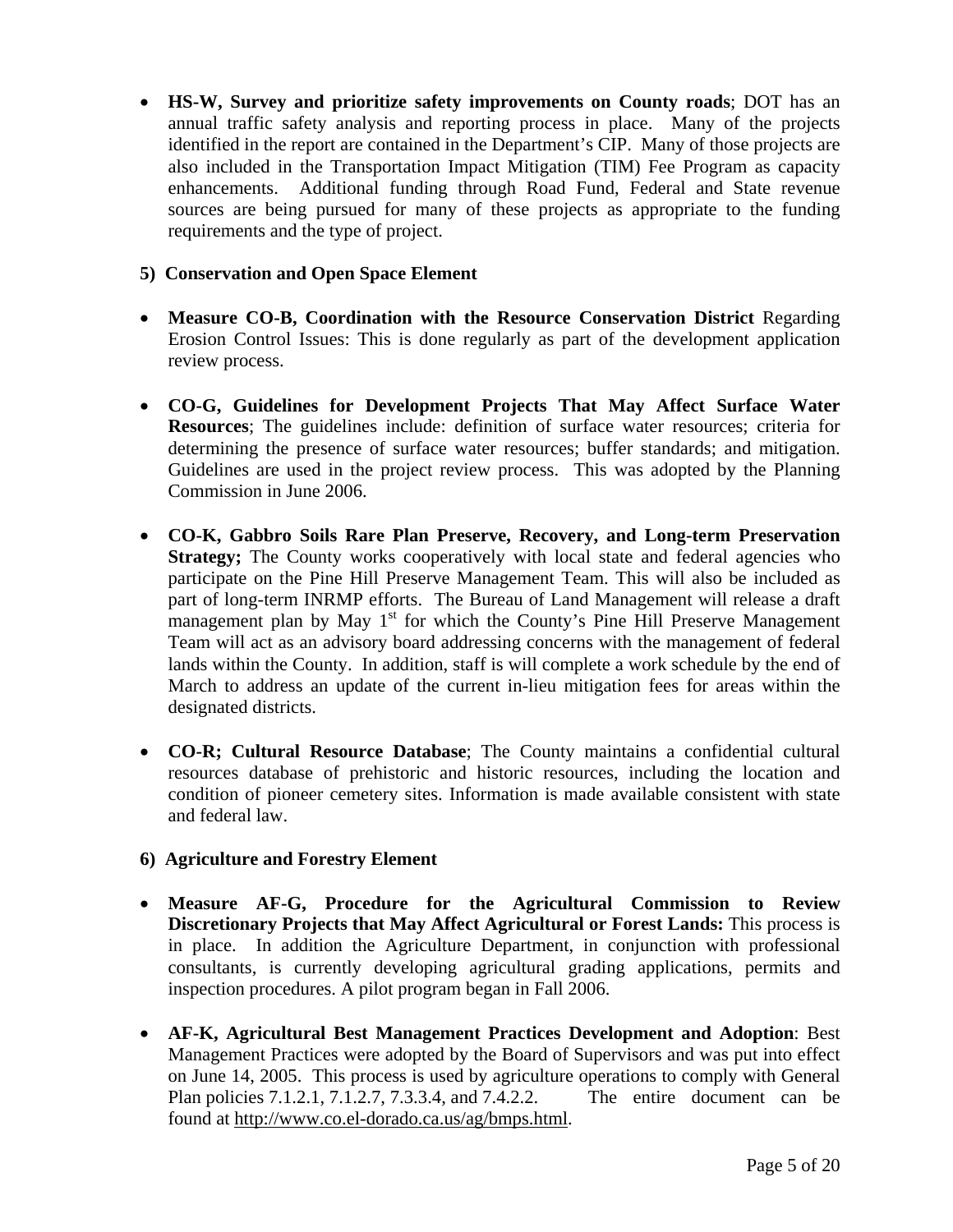• **HS-W, Survey and prioritize safety improvements on County roads**; DOT has an annual traffic safety analysis and reporting process in place. Many of the projects identified in the report are contained in the Department's CIP. Many of those projects are also included in the Transportation Impact Mitigation (TIM) Fee Program as capacity enhancements. Additional funding through Road Fund, Federal and State revenue sources are being pursued for many of these projects as appropriate to the funding requirements and the type of project.

#### **5) Conservation and Open Space Element**

- **Measure CO-B, Coordination with the Resource Conservation District** Regarding Erosion Control Issues: This is done regularly as part of the development application review process.
- **CO-G, Guidelines for Development Projects That May Affect Surface Water Resources**; The guidelines include: definition of surface water resources; criteria for determining the presence of surface water resources; buffer standards; and mitigation. Guidelines are used in the project review process. This was adopted by the Planning Commission in June 2006.
- **CO-K, Gabbro Soils Rare Plan Preserve, Recovery, and Long-term Preservation Strategy;** The County works cooperatively with local state and federal agencies who participate on the Pine Hill Preserve Management Team. This will also be included as part of long-term INRMP efforts. The Bureau of Land Management will release a draft management plan by May  $1<sup>st</sup>$  for which the County's Pine Hill Preserve Management Team will act as an advisory board addressing concerns with the management of federal lands within the County. In addition, staff is will complete a work schedule by the end of March to address an update of the current in-lieu mitigation fees for areas within the designated districts.
- **CO-R; Cultural Resource Database**; The County maintains a confidential cultural resources database of prehistoric and historic resources, including the location and condition of pioneer cemetery sites. Information is made available consistent with state and federal law.

#### **6) Agriculture and Forestry Element**

- **Measure AF-G, Procedure for the Agricultural Commission to Review Discretionary Projects that May Affect Agricultural or Forest Lands:** This process is in place. In addition the Agriculture Department, in conjunction with professional consultants, is currently developing agricultural grading applications, permits and inspection procedures. A pilot program began in Fall 2006.
- **AF-K, Agricultural Best Management Practices Development and Adoption**: Best Management Practices were adopted by the Board of Supervisors and was put into effect on June 14, 2005. This process is used by agriculture operations to comply with General Plan policies 7.1.2.1, 7.1.2.7, 7.3.3.4, and 7.4.2.2. The entire document can be found at [http://www.co.el-dorado.ca.us/ag/bmps.html.](http://www.co.el-dorado.ca.us/ag/bmps.html)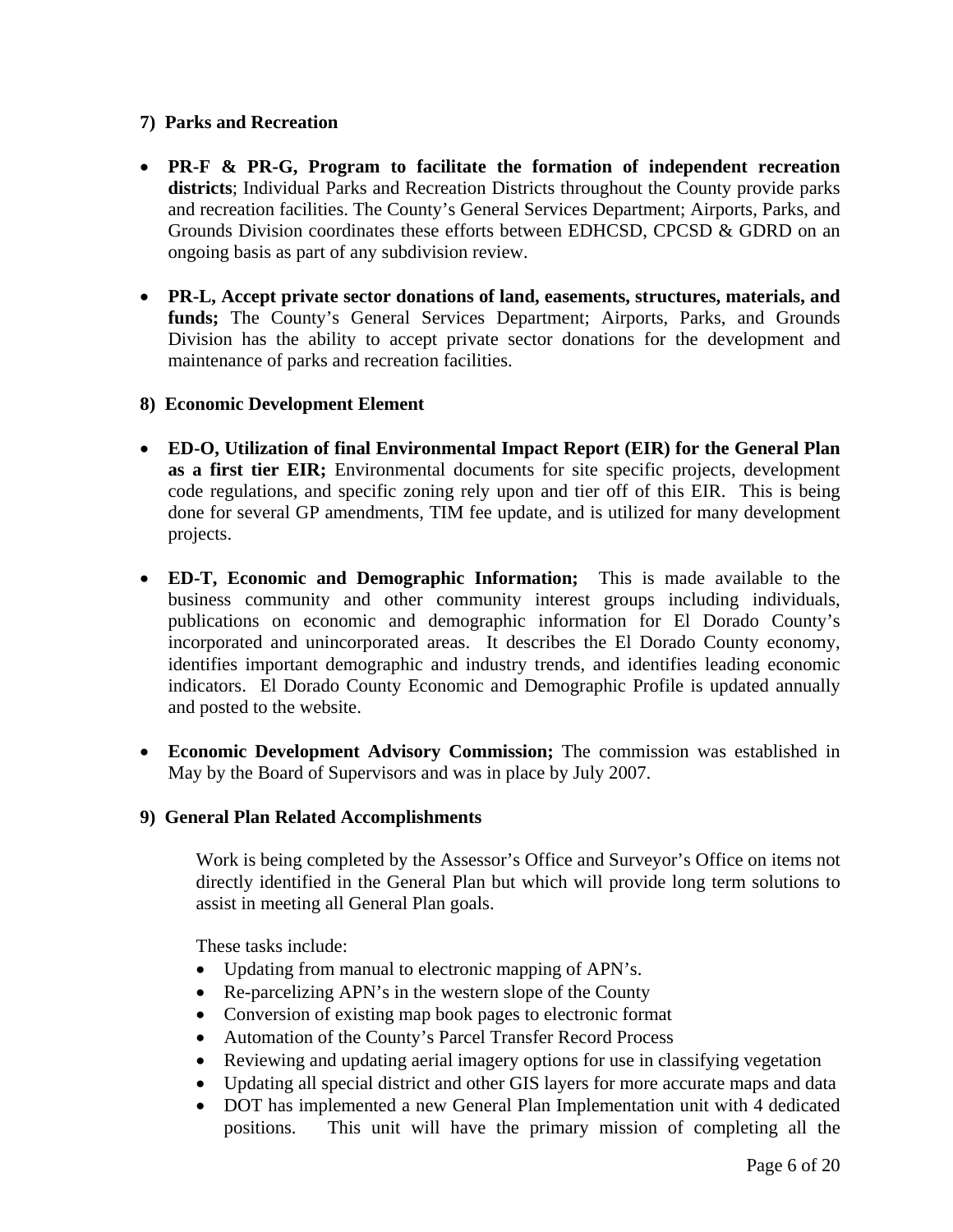#### **7) Parks and Recreation**

- **PR-F & PR-G, Program to facilitate the formation of independent recreation districts**; Individual Parks and Recreation Districts throughout the County provide parks and recreation facilities. The County's General Services Department; Airports, Parks, and Grounds Division coordinates these efforts between EDHCSD, CPCSD & GDRD on an ongoing basis as part of any subdivision review.
- **PR-L, Accept private sector donations of land, easements, structures, materials, and**  funds; The County's General Services Department; Airports, Parks, and Grounds Division has the ability to accept private sector donations for the development and maintenance of parks and recreation facilities.

#### **8) Economic Development Element**

- **ED-O, Utilization of final Environmental Impact Report (EIR) for the General Plan as a first tier EIR;** Environmental documents for site specific projects, development code regulations, and specific zoning rely upon and tier off of this EIR. This is being done for several GP amendments, TIM fee update, and is utilized for many development projects.
- **ED-T, Economic and Demographic Information;** This is made available to the business community and other community interest groups including individuals, publications on economic and demographic information for El Dorado County's incorporated and unincorporated areas. It describes the El Dorado County economy, identifies important demographic and industry trends, and identifies leading economic indicators. El Dorado County Economic and Demographic Profile is updated annually and posted to the website.
- **Economic Development Advisory Commission;** The commission was established in May by the Board of Supervisors and was in place by July 2007.
- **9) General Plan Related Accomplishments**

Work is being completed by the Assessor's Office and Surveyor's Office on items not directly identified in the General Plan but which will provide long term solutions to assist in meeting all General Plan goals.

These tasks include:

- Updating from manual to electronic mapping of APN's.
- Re-parcelizing APN's in the western slope of the County
- Conversion of existing map book pages to electronic format
- Automation of the County's Parcel Transfer Record Process
- Reviewing and updating aerial imagery options for use in classifying vegetation
- Updating all special district and other GIS layers for more accurate maps and data
- DOT has implemented a new General Plan Implementation unit with 4 dedicated positions. This unit will have the primary mission of completing all the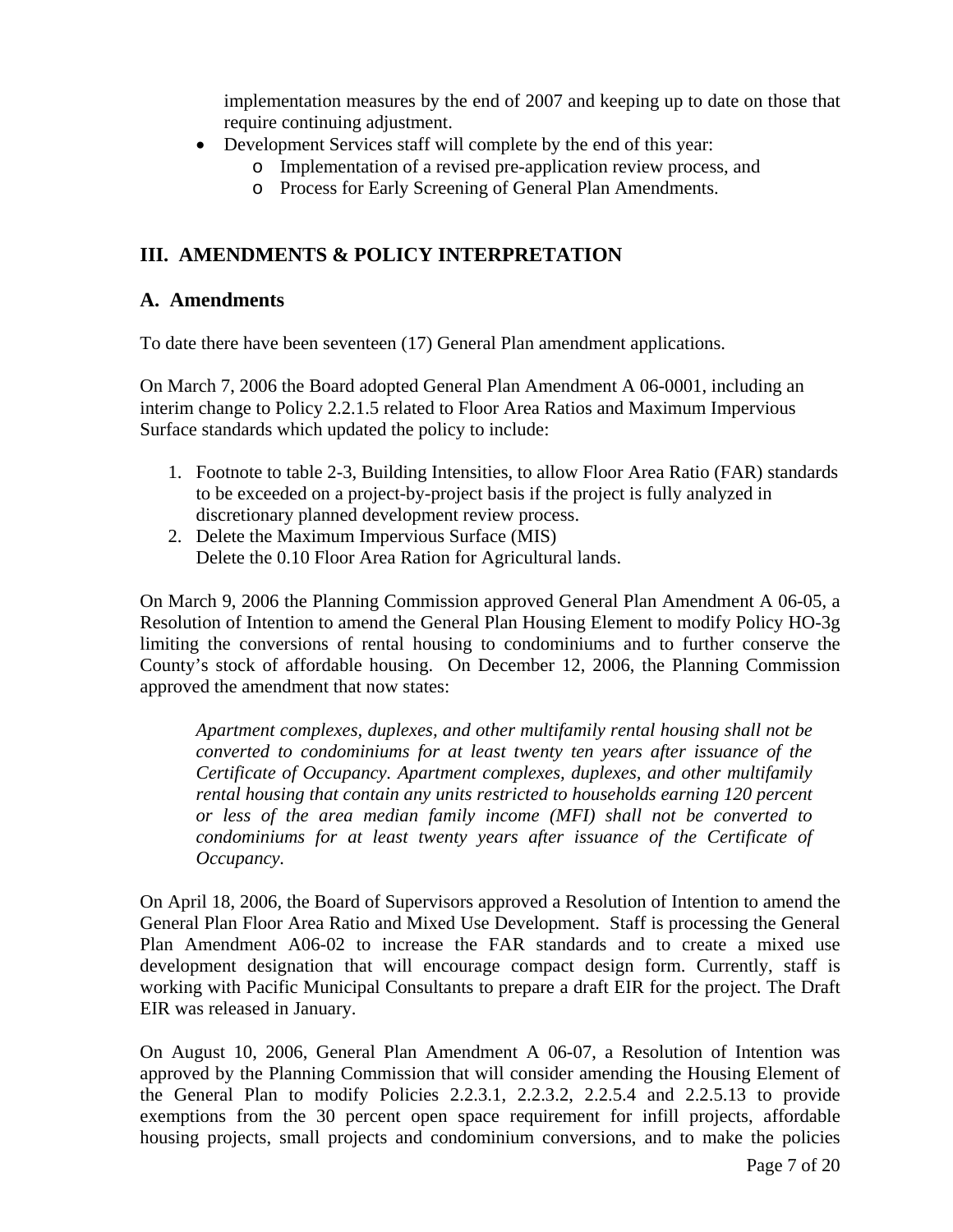implementation measures by the end of 2007 and keeping up to date on those that require continuing adjustment.

- Development Services staff will complete by the end of this year:
	- o Implementation of a revised pre-application review process, and
	- o Process for Early Screening of General Plan Amendments.

## **III. AMENDMENTS & POLICY INTERPRETATION**

#### **A. Amendments**

To date there have been seventeen (17) General Plan amendment applications.

On March 7, 2006 the Board adopted General Plan Amendment A 06-0001, including an interim change to Policy 2.2.1.5 related to Floor Area Ratios and Maximum Impervious Surface standards which updated the policy to include:

- 1. Footnote to table 2-3, Building Intensities, to allow Floor Area Ratio (FAR) standards to be exceeded on a project-by-project basis if the project is fully analyzed in discretionary planned development review process.
- 2. Delete the Maximum Impervious Surface (MIS) Delete the 0.10 Floor Area Ration for Agricultural lands.

On March 9, 2006 the Planning Commission approved General Plan Amendment A 06-05, a Resolution of Intention to amend the General Plan Housing Element to modify Policy HO-3g limiting the conversions of rental housing to condominiums and to further conserve the County's stock of affordable housing. On December 12, 2006, the Planning Commission approved the amendment that now states:

*Apartment complexes, duplexes, and other multifamily rental housing shall not be converted to condominiums for at least twenty ten years after issuance of the Certificate of Occupancy. Apartment complexes, duplexes, and other multifamily rental housing that contain any units restricted to households earning 120 percent or less of the area median family income (MFI) shall not be converted to condominiums for at least twenty years after issuance of the Certificate of Occupancy.* 

On April 18, 2006, the Board of Supervisors approved a Resolution of Intention to amend the General Plan Floor Area Ratio and Mixed Use Development. Staff is processing the General Plan Amendment A06-02 to increase the FAR standards and to create a mixed use development designation that will encourage compact design form. Currently, staff is working with Pacific Municipal Consultants to prepare a draft EIR for the project. The Draft EIR was released in January.

On August 10, 2006, General Plan Amendment A 06-07, a Resolution of Intention was approved by the Planning Commission that will consider amending the Housing Element of the General Plan to modify Policies 2.2.3.1, 2.2.3.2, 2.2.5.4 and 2.2.5.13 to provide exemptions from the 30 percent open space requirement for infill projects, affordable housing projects, small projects and condominium conversions, and to make the policies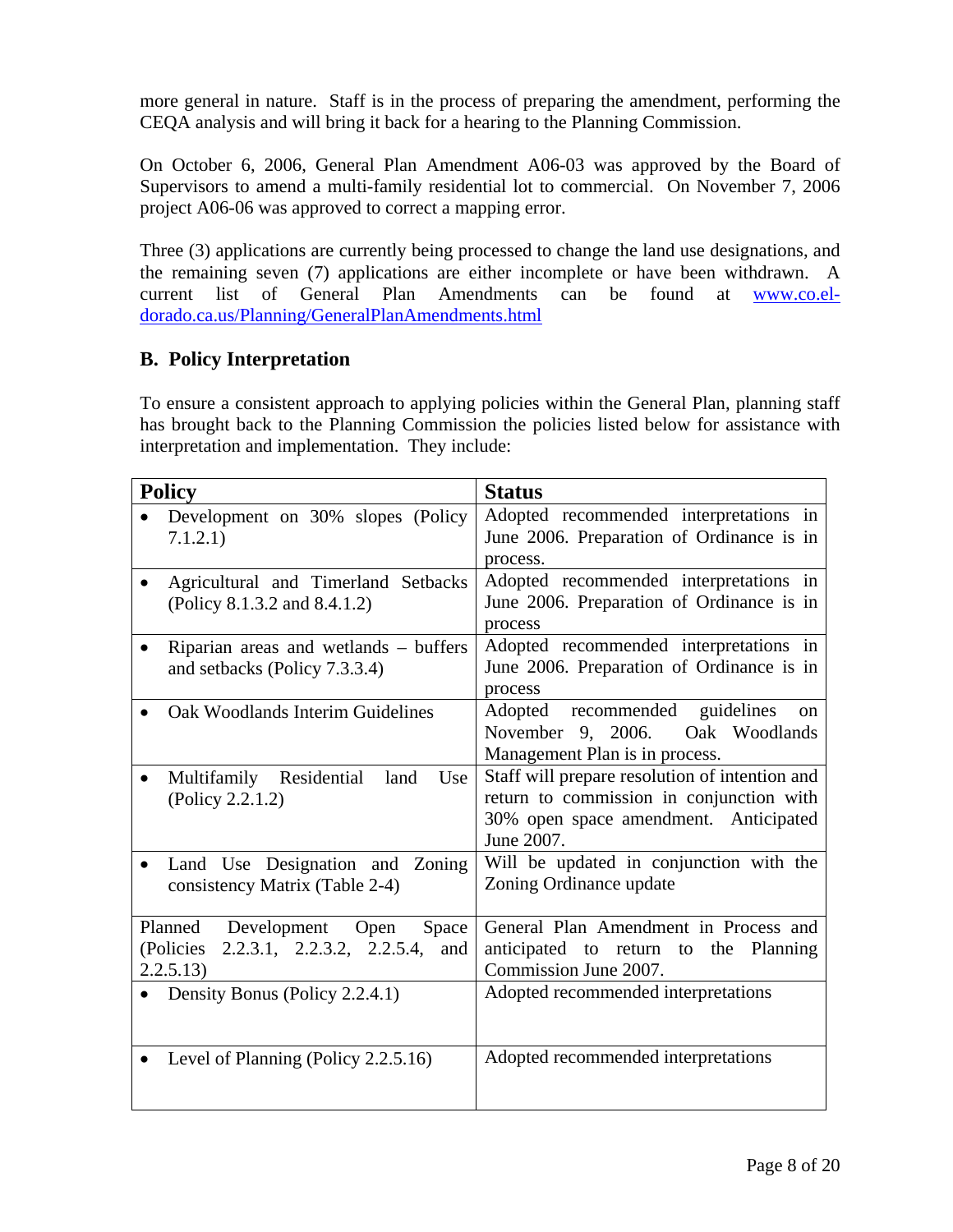more general in nature. Staff is in the process of preparing the amendment, performing the CEQA analysis and will bring it back for a hearing to the Planning Commission.

On October 6, 2006, General Plan Amendment A06-03 was approved by the Board of Supervisors to amend a multi-family residential lot to commercial. On November 7, 2006 project A06-06 was approved to correct a mapping error.

Three (3) applications are currently being processed to change the land use designations, and the remaining seven (7) applications are either incomplete or have been withdrawn. A current list of General Plan Amendments can be found at [www.co.el](http://www.co.el-dorado.ca.us/Planning/GeneralPlanAmendments.html)[dorado.ca.us/Planning/GeneralPlanAmendments.html](http://www.co.el-dorado.ca.us/Planning/GeneralPlanAmendments.html)

### **B. Policy Interpretation**

To ensure a consistent approach to applying policies within the General Plan, planning staff has brought back to the Planning Commission the policies listed below for assistance with interpretation and implementation. They include:

| <b>Policy</b>                                                                                   | <b>Status</b>                                                                                                                                     |  |  |  |
|-------------------------------------------------------------------------------------------------|---------------------------------------------------------------------------------------------------------------------------------------------------|--|--|--|
| Development on 30% slopes (Policy<br>7.1.2.1)                                                   | Adopted recommended interpretations in<br>June 2006. Preparation of Ordinance is in<br>process.                                                   |  |  |  |
| Agricultural and Timerland Setbacks<br>(Policy 8.1.3.2 and 8.4.1.2)                             | Adopted recommended interpretations in<br>June 2006. Preparation of Ordinance is in<br>process                                                    |  |  |  |
| Riparian areas and wetlands - buffers<br>and setbacks (Policy 7.3.3.4)                          | Adopted recommended interpretations in<br>June 2006. Preparation of Ordinance is in<br>process                                                    |  |  |  |
| Oak Woodlands Interim Guidelines                                                                | Adopted recommended guidelines<br><sub>on</sub><br>November 9, 2006. Oak Woodlands<br>Management Plan is in process.                              |  |  |  |
| Multifamily Residential<br>land<br>Use<br>(Policy 2.2.1.2)                                      | Staff will prepare resolution of intention and<br>return to commission in conjunction with<br>30% open space amendment. Anticipated<br>June 2007. |  |  |  |
| Land Use Designation and Zoning<br>consistency Matrix (Table 2-4)                               | Will be updated in conjunction with the<br>Zoning Ordinance update                                                                                |  |  |  |
| Planned Development<br>Open<br>Space<br>2.2.3.1, 2.2.3.2, 2.2.5.4, and<br>(Policies<br>2.2.5.13 | General Plan Amendment in Process and<br>anticipated to return to the Planning<br>Commission June 2007.                                           |  |  |  |
| • Density Bonus (Policy 2.2.4.1)                                                                | Adopted recommended interpretations                                                                                                               |  |  |  |
| Level of Planning (Policy 2.2.5.16)                                                             | Adopted recommended interpretations                                                                                                               |  |  |  |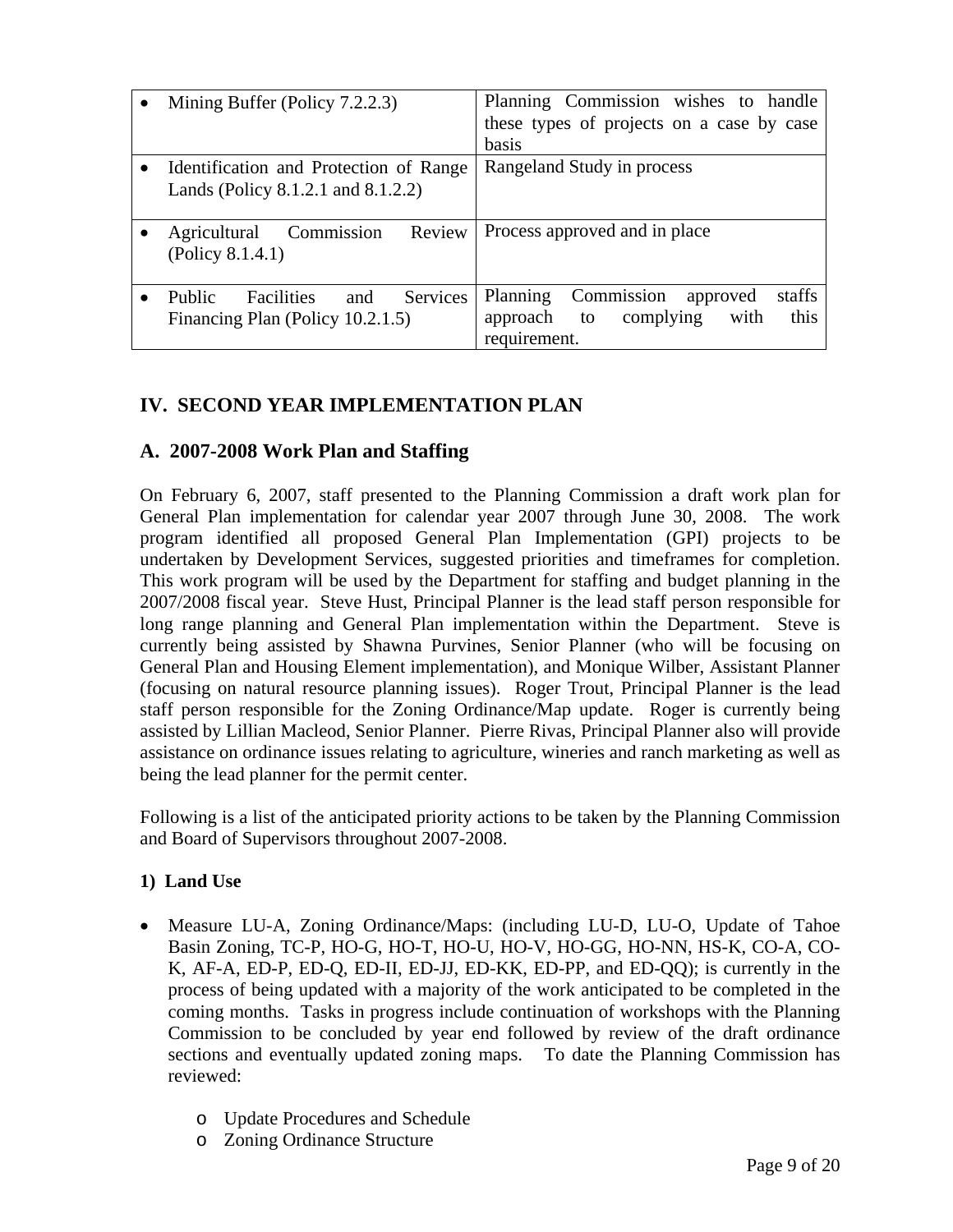|           | Mining Buffer (Policy 7.2.2.3)                 | Planning Commission wishes to handle         |  |  |  |
|-----------|------------------------------------------------|----------------------------------------------|--|--|--|
|           |                                                | these types of projects on a case by case    |  |  |  |
|           |                                                | basis                                        |  |  |  |
| $\bullet$ | Identification and Protection of Range         | Rangeland Study in process                   |  |  |  |
|           | Lands (Policy 8.1.2.1 and 8.1.2.2)             |                                              |  |  |  |
|           |                                                |                                              |  |  |  |
|           | Commission<br>Review<br>Agricultural           | Process approved and in place                |  |  |  |
|           | (Policy 8.1.4.1)                               |                                              |  |  |  |
|           |                                                |                                              |  |  |  |
|           | Services<br>Public<br><b>Facilities</b><br>and | Commission<br>staffs<br>Planning<br>approved |  |  |  |
|           | Financing Plan (Policy 10.2.1.5)               | this<br>complying<br>with<br>approach<br>to  |  |  |  |
|           |                                                | requirement.                                 |  |  |  |

# **IV. SECOND YEAR IMPLEMENTATION PLAN**

## **A. 2007-2008 Work Plan and Staffing**

On February 6, 2007, staff presented to the Planning Commission a draft work plan for General Plan implementation for calendar year 2007 through June 30, 2008. The work program identified all proposed General Plan Implementation (GPI) projects to be undertaken by Development Services, suggested priorities and timeframes for completion. This work program will be used by the Department for staffing and budget planning in the 2007/2008 fiscal year. Steve Hust, Principal Planner is the lead staff person responsible for long range planning and General Plan implementation within the Department. Steve is currently being assisted by Shawna Purvines, Senior Planner (who will be focusing on General Plan and Housing Element implementation), and Monique Wilber, Assistant Planner (focusing on natural resource planning issues). Roger Trout, Principal Planner is the lead staff person responsible for the Zoning Ordinance/Map update. Roger is currently being assisted by Lillian Macleod, Senior Planner. Pierre Rivas, Principal Planner also will provide assistance on ordinance issues relating to agriculture, wineries and ranch marketing as well as being the lead planner for the permit center.

Following is a list of the anticipated priority actions to be taken by the Planning Commission and Board of Supervisors throughout 2007-2008.

#### **1) Land Use**

- Measure LU-A, Zoning Ordinance/Maps: (including LU-D, LU-O, Update of Tahoe Basin Zoning, TC-P, HO-G, HO-T, HO-U, HO-V, HO-GG, HO-NN, HS-K, CO-A, CO-K, AF-A, ED-P, ED-Q, ED-II, ED-JJ, ED-KK, ED-PP, and ED-QQ); is currently in the process of being updated with a majority of the work anticipated to be completed in the coming months. Tasks in progress include continuation of workshops with the Planning Commission to be concluded by year end followed by review of the draft ordinance sections and eventually updated zoning maps. To date the Planning Commission has reviewed:
	- o Update Procedures and Schedule
	- o Zoning Ordinance Structure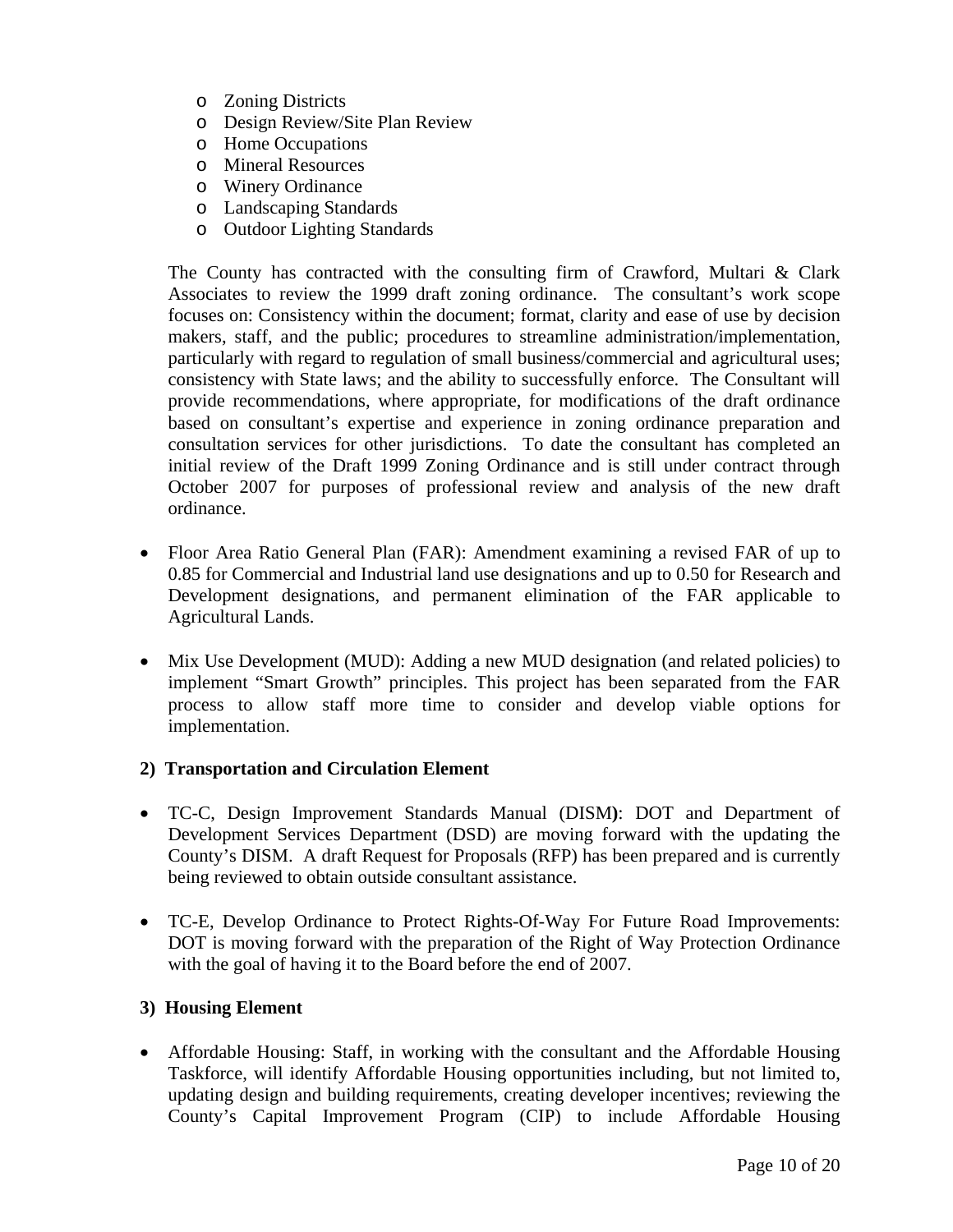- o Zoning Districts
- o Design Review/Site Plan Review
- o Home Occupations
- o Mineral Resources
- o Winery Ordinance
- o Landscaping Standards
- o Outdoor Lighting Standards

The County has contracted with the consulting firm of Crawford, Multari & Clark Associates to review the 1999 draft zoning ordinance. The consultant's work scope focuses on: Consistency within the document; format, clarity and ease of use by decision makers, staff, and the public; procedures to streamline administration/implementation, particularly with regard to regulation of small business/commercial and agricultural uses; consistency with State laws; and the ability to successfully enforce. The Consultant will provide recommendations, where appropriate, for modifications of the draft ordinance based on consultant's expertise and experience in zoning ordinance preparation and consultation services for other jurisdictions. To date the consultant has completed an initial review of the Draft 1999 Zoning Ordinance and is still under contract through October 2007 for purposes of professional review and analysis of the new draft ordinance.

- Floor Area Ratio General Plan (FAR): Amendment examining a revised FAR of up to 0.85 for Commercial and Industrial land use designations and up to 0.50 for Research and Development designations, and permanent elimination of the FAR applicable to Agricultural Lands.
- Mix Use Development (MUD): Adding a new MUD designation (and related policies) to implement "Smart Growth" principles. This project has been separated from the FAR process to allow staff more time to consider and develop viable options for implementation.

#### **2) Transportation and Circulation Element**

- TC-C, Design Improvement Standards Manual (DISM**)**: DOT and Department of Development Services Department (DSD) are moving forward with the updating the County's DISM. A draft Request for Proposals (RFP) has been prepared and is currently being reviewed to obtain outside consultant assistance.
- TC-E, Develop Ordinance to Protect Rights-Of-Way For Future Road Improvements: DOT is moving forward with the preparation of the Right of Way Protection Ordinance with the goal of having it to the Board before the end of 2007.

#### **3) Housing Element**

• Affordable Housing: Staff, in working with the consultant and the Affordable Housing Taskforce, will identify Affordable Housing opportunities including, but not limited to, updating design and building requirements, creating developer incentives; reviewing the County's Capital Improvement Program (CIP) to include Affordable Housing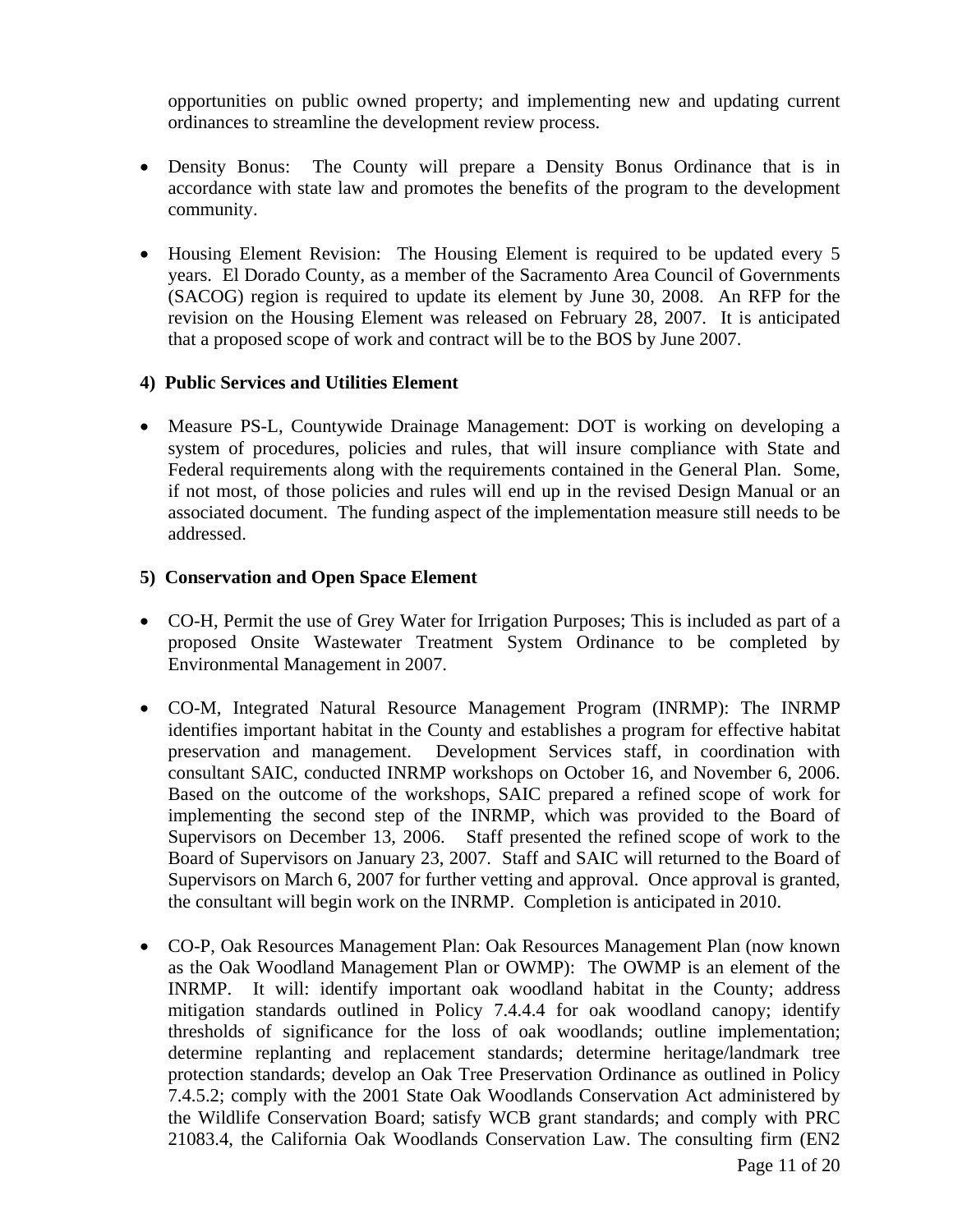opportunities on public owned property; and implementing new and updating current ordinances to streamline the development review process.

- Density Bonus: The County will prepare a Density Bonus Ordinance that is in accordance with state law and promotes the benefits of the program to the development community.
- Housing Element Revision: The Housing Element is required to be updated every 5 years. El Dorado County, as a member of the Sacramento Area Council of Governments (SACOG) region is required to update its element by June 30, 2008. An RFP for the revision on the Housing Element was released on February 28, 2007. It is anticipated that a proposed scope of work and contract will be to the BOS by June 2007.

#### **4) Public Services and Utilities Element**

• Measure PS-L, Countywide Drainage Management: DOT is working on developing a system of procedures, policies and rules, that will insure compliance with State and Federal requirements along with the requirements contained in the General Plan. Some, if not most, of those policies and rules will end up in the revised Design Manual or an associated document. The funding aspect of the implementation measure still needs to be addressed.

#### **5) Conservation and Open Space Element**

- CO-H, Permit the use of Grey Water for Irrigation Purposes; This is included as part of a proposed Onsite Wastewater Treatment System Ordinance to be completed by Environmental Management in 2007.
- CO-M, Integrated Natural Resource Management Program (INRMP): The INRMP identifies important habitat in the County and establishes a program for effective habitat preservation and management. Development Services staff, in coordination with consultant SAIC, conducted INRMP workshops on October 16, and November 6, 2006. Based on the outcome of the workshops, SAIC prepared a refined scope of work for implementing the second step of the INRMP, which was provided to the Board of Supervisors on December 13, 2006. Staff presented the refined scope of work to the Board of Supervisors on January 23, 2007. Staff and SAIC will returned to the Board of Supervisors on March 6, 2007 for further vetting and approval. Once approval is granted, the consultant will begin work on the INRMP. Completion is anticipated in 2010.
- CO-P, Oak Resources Management Plan: Oak Resources Management Plan (now known as the Oak Woodland Management Plan or OWMP): The OWMP is an element of the INRMP. It will: identify important oak woodland habitat in the County; address mitigation standards outlined in Policy 7.4.4.4 for oak woodland canopy; identify thresholds of significance for the loss of oak woodlands; outline implementation; determine replanting and replacement standards; determine heritage/landmark tree protection standards; develop an Oak Tree Preservation Ordinance as outlined in Policy 7.4.5.2; comply with the 2001 State Oak Woodlands Conservation Act administered by the Wildlife Conservation Board; satisfy WCB grant standards; and comply with PRC 21083.4, the California Oak Woodlands Conservation Law. The consulting firm (EN2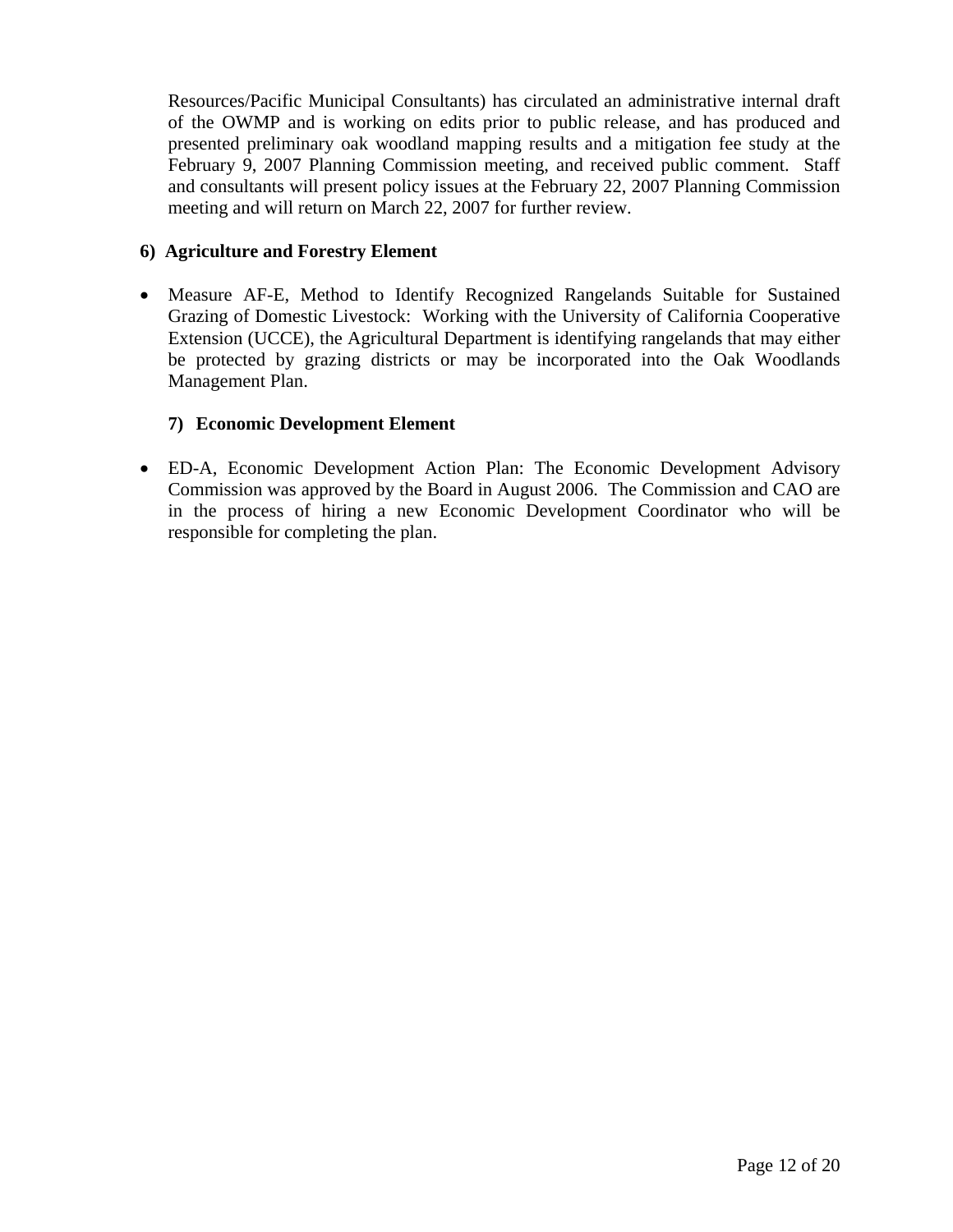Resources/Pacific Municipal Consultants) has circulated an administrative internal draft of the OWMP and is working on edits prior to public release, and has produced and presented preliminary oak woodland mapping results and a mitigation fee study at the February 9, 2007 Planning Commission meeting, and received public comment. Staff and consultants will present policy issues at the February 22, 2007 Planning Commission meeting and will return on March 22, 2007 for further review.

#### **6) Agriculture and Forestry Element**

• Measure AF-E, Method to Identify Recognized Rangelands Suitable for Sustained Grazing of Domestic Livestock: Working with the University of California Cooperative Extension (UCCE), the Agricultural Department is identifying rangelands that may either be protected by grazing districts or may be incorporated into the Oak Woodlands Management Plan.

#### **7) Economic Development Element**

• ED-A, Economic Development Action Plan: The Economic Development Advisory Commission was approved by the Board in August 2006. The Commission and CAO are in the process of hiring a new Economic Development Coordinator who will be responsible for completing the plan.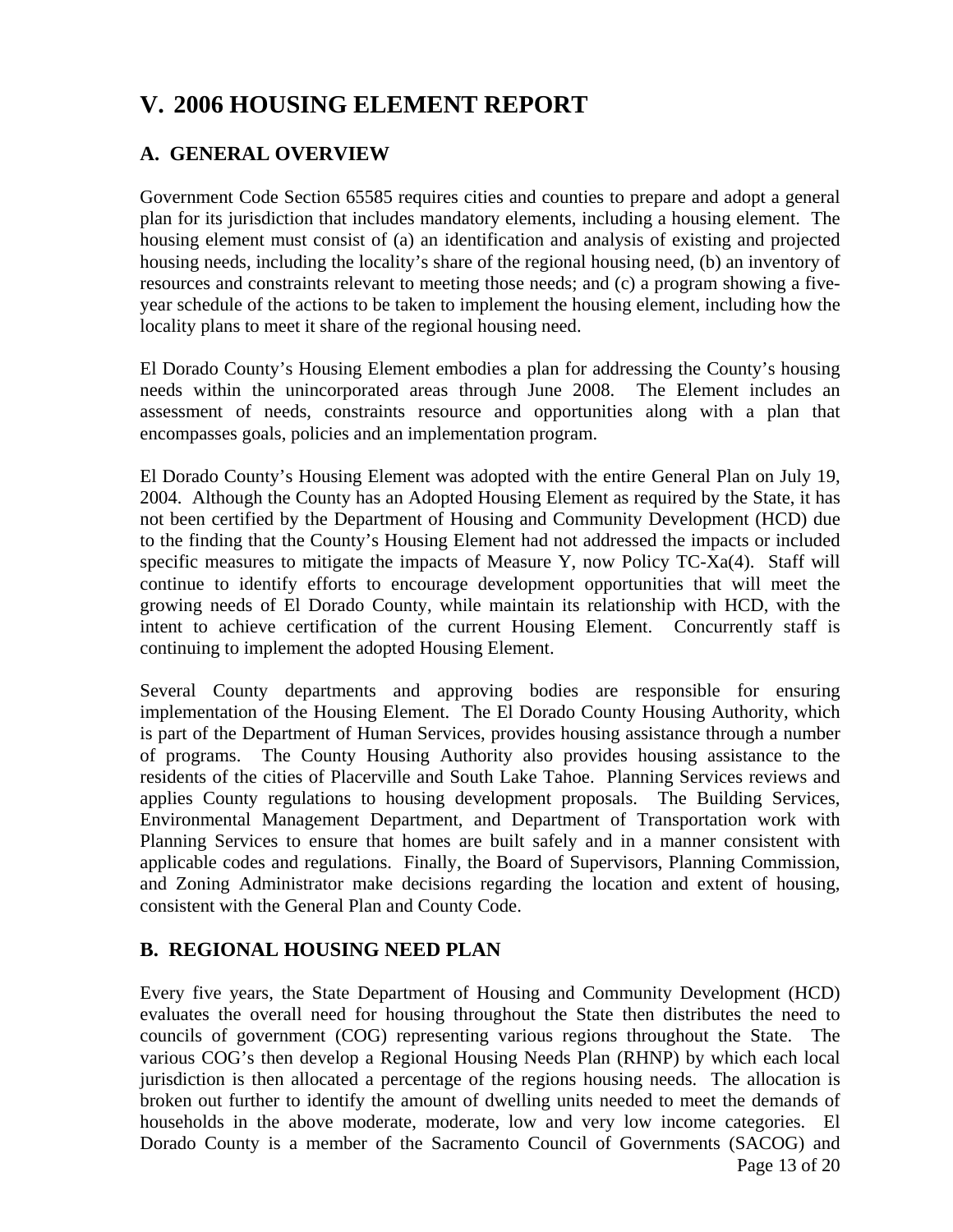# **V. 2006 HOUSING ELEMENT REPORT**

# **A. GENERAL OVERVIEW**

Government Code Section 65585 requires cities and counties to prepare and adopt a general plan for its jurisdiction that includes mandatory elements, including a housing element. The housing element must consist of (a) an identification and analysis of existing and projected housing needs, including the locality's share of the regional housing need, (b) an inventory of resources and constraints relevant to meeting those needs; and (c) a program showing a fiveyear schedule of the actions to be taken to implement the housing element, including how the locality plans to meet it share of the regional housing need.

El Dorado County's Housing Element embodies a plan for addressing the County's housing needs within the unincorporated areas through June 2008. The Element includes an assessment of needs, constraints resource and opportunities along with a plan that encompasses goals, policies and an implementation program.

El Dorado County's Housing Element was adopted with the entire General Plan on July 19, 2004. Although the County has an Adopted Housing Element as required by the State, it has not been certified by the Department of Housing and Community Development (HCD) due to the finding that the County's Housing Element had not addressed the impacts or included specific measures to mitigate the impacts of Measure Y, now Policy TC-Xa(4). Staff will continue to identify efforts to encourage development opportunities that will meet the growing needs of El Dorado County, while maintain its relationship with HCD, with the intent to achieve certification of the current Housing Element. Concurrently staff is continuing to implement the adopted Housing Element.

Several County departments and approving bodies are responsible for ensuring implementation of the Housing Element. The El Dorado County Housing Authority, which is part of the Department of Human Services, provides housing assistance through a number of programs. The County Housing Authority also provides housing assistance to the residents of the cities of Placerville and South Lake Tahoe. Planning Services reviews and applies County regulations to housing development proposals. The Building Services, Environmental Management Department, and Department of Transportation work with Planning Services to ensure that homes are built safely and in a manner consistent with applicable codes and regulations. Finally, the Board of Supervisors, Planning Commission, and Zoning Administrator make decisions regarding the location and extent of housing, consistent with the General Plan and County Code.

# **B. REGIONAL HOUSING NEED PLAN**

Page 13 of 20 Every five years, the State Department of Housing and Community Development (HCD) evaluates the overall need for housing throughout the State then distributes the need to councils of government (COG) representing various regions throughout the State. The various COG's then develop a Regional Housing Needs Plan (RHNP) by which each local jurisdiction is then allocated a percentage of the regions housing needs. The allocation is broken out further to identify the amount of dwelling units needed to meet the demands of households in the above moderate, moderate, low and very low income categories. El Dorado County is a member of the Sacramento Council of Governments (SACOG) and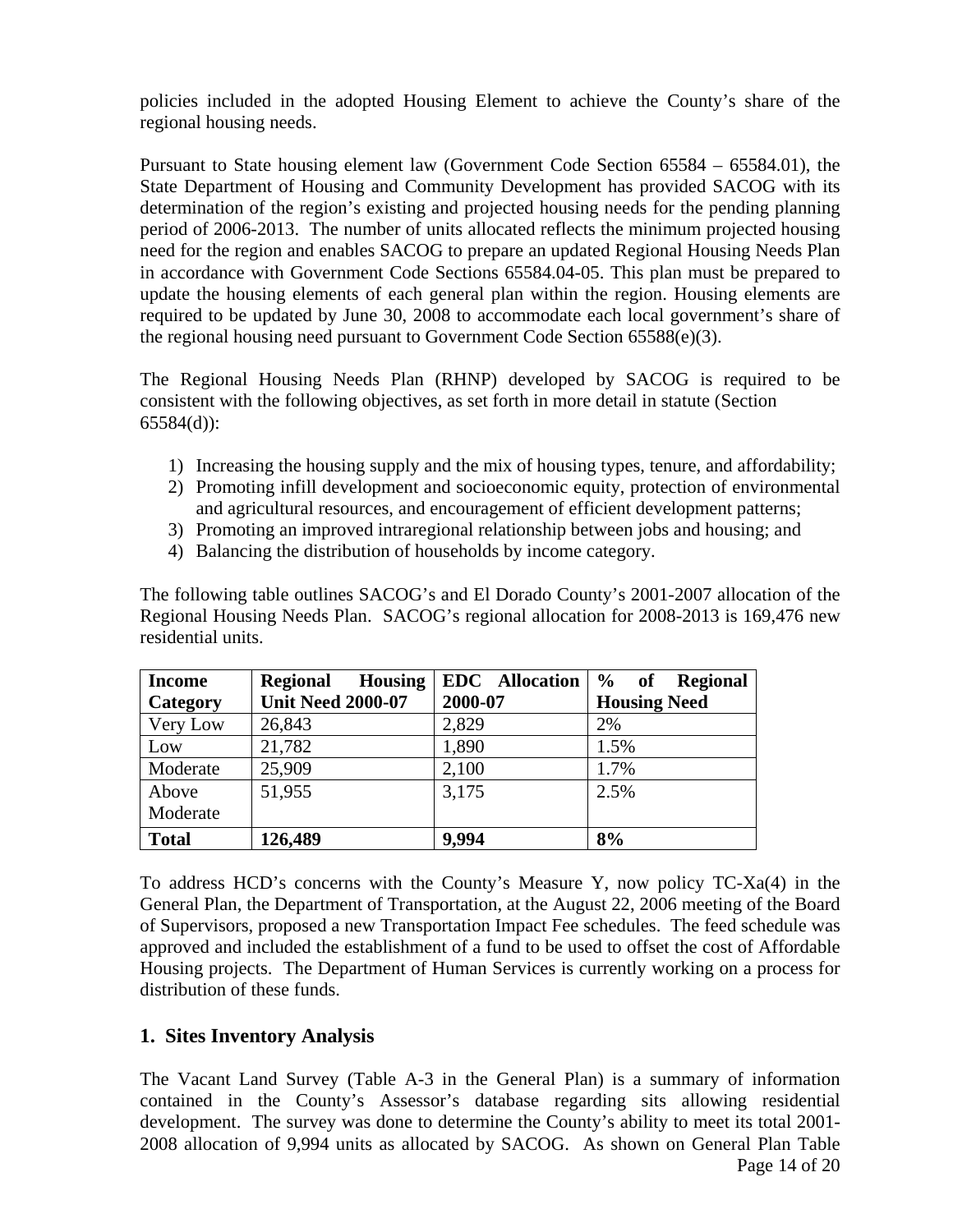policies included in the adopted Housing Element to achieve the County's share of the regional housing needs.

Pursuant to State housing element law (Government Code Section 65584 – 65584.01), the State Department of Housing and Community Development has provided SACOG with its determination of the region's existing and projected housing needs for the pending planning period of 2006-2013. The number of units allocated reflects the minimum projected housing need for the region and enables SACOG to prepare an updated Regional Housing Needs Plan in accordance with Government Code Sections 65584.04-05. This plan must be prepared to update the housing elements of each general plan within the region. Housing elements are required to be updated by June 30, 2008 to accommodate each local government's share of the regional housing need pursuant to Government Code Section 65588(e)(3).

The Regional Housing Needs Plan (RHNP) developed by SACOG is required to be consistent with the following objectives, as set forth in more detail in statute (Section 65584(d)):

- 1) Increasing the housing supply and the mix of housing types, tenure, and affordability;
- 2) Promoting infill development and socioeconomic equity, protection of environmental and agricultural resources, and encouragement of efficient development patterns;
- 3) Promoting an improved intraregional relationship between jobs and housing; and
- 4) Balancing the distribution of households by income category.

The following table outlines SACOG's and El Dorado County's 2001-2007 allocation of the Regional Housing Needs Plan. SACOG's regional allocation for 2008-2013 is 169,476 new residential units.

| <b>Income</b> | <b>Housing</b><br><b>Regional</b> | <b>EDC</b> Allocation | $\frac{6}{9}$<br>of<br><b>Regional</b> |
|---------------|-----------------------------------|-----------------------|----------------------------------------|
| Category      | <b>Unit Need 2000-07</b>          | 2000-07               | <b>Housing Need</b>                    |
| Very Low      | 26,843                            | 2,829                 | 2%                                     |
| Low           | 21,782                            | 1,890                 | 1.5%                                   |
| Moderate      | 25,909                            | 2,100                 | 1.7%                                   |
| Above         | 51,955                            | 3,175                 | 2.5%                                   |
| Moderate      |                                   |                       |                                        |
| <b>Total</b>  | 126,489                           | 9,994                 | 8%                                     |

To address HCD's concerns with the County's Measure Y, now policy TC-Xa(4) in the General Plan, the Department of Transportation, at the August 22, 2006 meeting of the Board of Supervisors, proposed a new Transportation Impact Fee schedules. The feed schedule was approved and included the establishment of a fund to be used to offset the cost of Affordable Housing projects. The Department of Human Services is currently working on a process for distribution of these funds.

#### **1. Sites Inventory Analysis**

Page 14 of 20 The Vacant Land Survey (Table A-3 in the General Plan) is a summary of information contained in the County's Assessor's database regarding sits allowing residential development. The survey was done to determine the County's ability to meet its total 2001- 2008 allocation of 9,994 units as allocated by SACOG. As shown on General Plan Table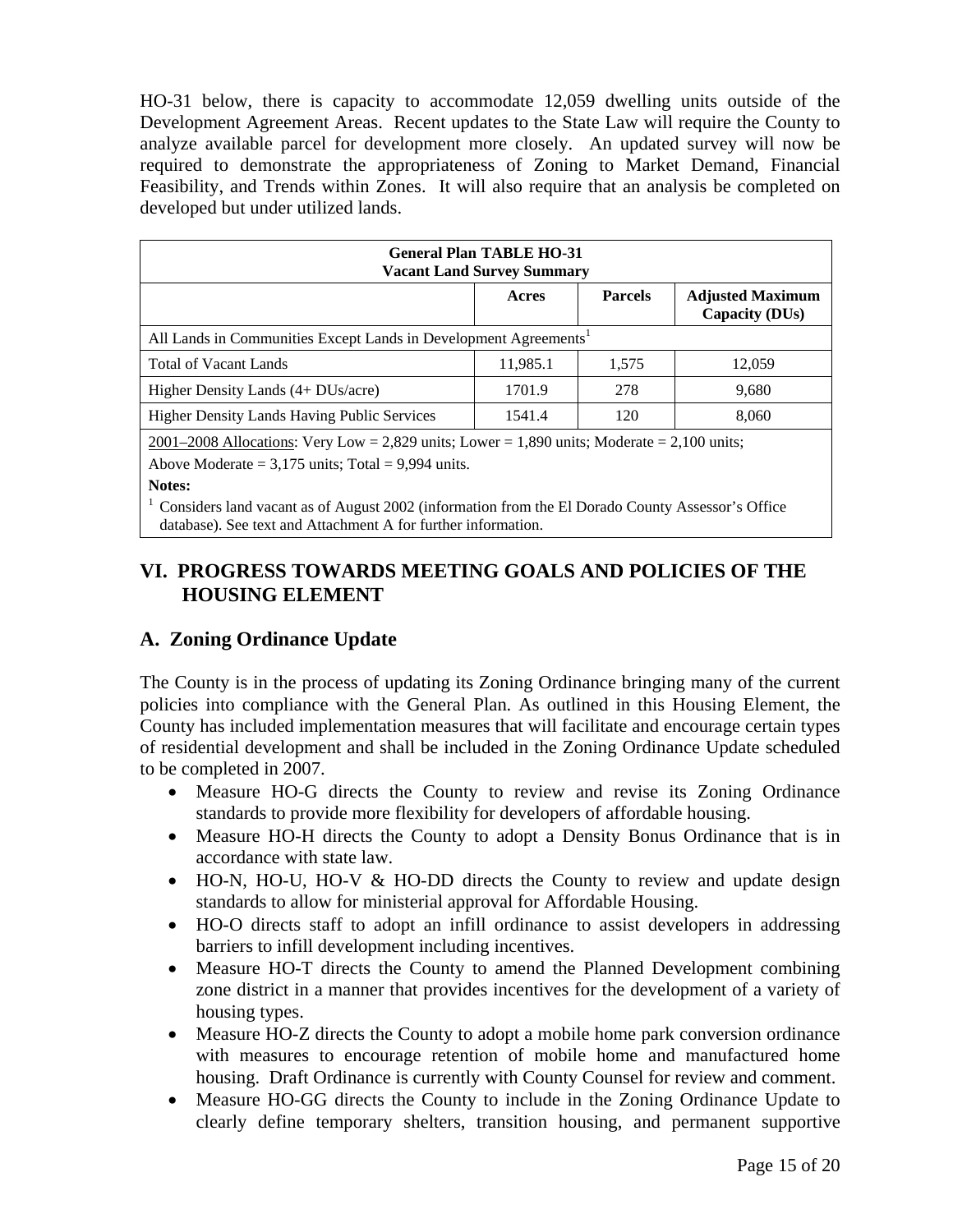HO-31 below, there is capacity to accommodate 12,059 dwelling units outside of the Development Agreement Areas. Recent updates to the State Law will require the County to analyze available parcel for development more closely. An updated survey will now be required to demonstrate the appropriateness of Zoning to Market Demand, Financial Feasibility, and Trends within Zones. It will also require that an analysis be completed on developed but under utilized lands.

| <b>General Plan TABLE HO-31</b><br><b>Vacant Land Survey Summary</b>                          |        |     |       |  |  |  |  |
|-----------------------------------------------------------------------------------------------|--------|-----|-------|--|--|--|--|
| <b>Parcels</b><br><b>Adjusted Maximum</b><br>Acres<br>Capacity (DUs)                          |        |     |       |  |  |  |  |
| All Lands in Communities Except Lands in Development Agreements <sup>1</sup>                  |        |     |       |  |  |  |  |
| <b>Total of Vacant Lands</b><br>11,985.1<br>12.059<br>1.575                                   |        |     |       |  |  |  |  |
| Higher Density Lands (4+ DUs/acre)                                                            | 1701.9 | 278 | 9,680 |  |  |  |  |
| <b>Higher Density Lands Having Public Services</b>                                            | 1541.4 | 120 | 8,060 |  |  |  |  |
| $2001-2008$ Allocations: Very Low = 2,829 units; Lower = 1,890 units; Moderate = 2,100 units; |        |     |       |  |  |  |  |

Above Moderate  $= 3,175$  units; Total  $= 9,994$  units.

**Notes:** 

<sup>1</sup> Considers land vacant as of August 2002 (information from the El Dorado County Assessor's Office database). See text and Attachment A for further information.

# **VI. PROGRESS TOWARDS MEETING GOALS AND POLICIES OF THE HOUSING ELEMENT**

# **A. Zoning Ordinance Update**

The County is in the process of updating its Zoning Ordinance bringing many of the current policies into compliance with the General Plan. As outlined in this Housing Element, the County has included implementation measures that will facilitate and encourage certain types of residential development and shall be included in the Zoning Ordinance Update scheduled to be completed in 2007.

- Measure HO-G directs the County to review and revise its Zoning Ordinance standards to provide more flexibility for developers of affordable housing.
- Measure HO-H directs the County to adopt a Density Bonus Ordinance that is in accordance with state law.
- HO-N, HO-U, HO-V & HO-DD directs the County to review and update design standards to allow for ministerial approval for Affordable Housing.
- HO-O directs staff to adopt an infill ordinance to assist developers in addressing barriers to infill development including incentives.
- Measure HO-T directs the County to amend the Planned Development combining zone district in a manner that provides incentives for the development of a variety of housing types.
- Measure HO-Z directs the County to adopt a mobile home park conversion ordinance with measures to encourage retention of mobile home and manufactured home housing. Draft Ordinance is currently with County Counsel for review and comment.
- Measure HO-GG directs the County to include in the Zoning Ordinance Update to clearly define temporary shelters, transition housing, and permanent supportive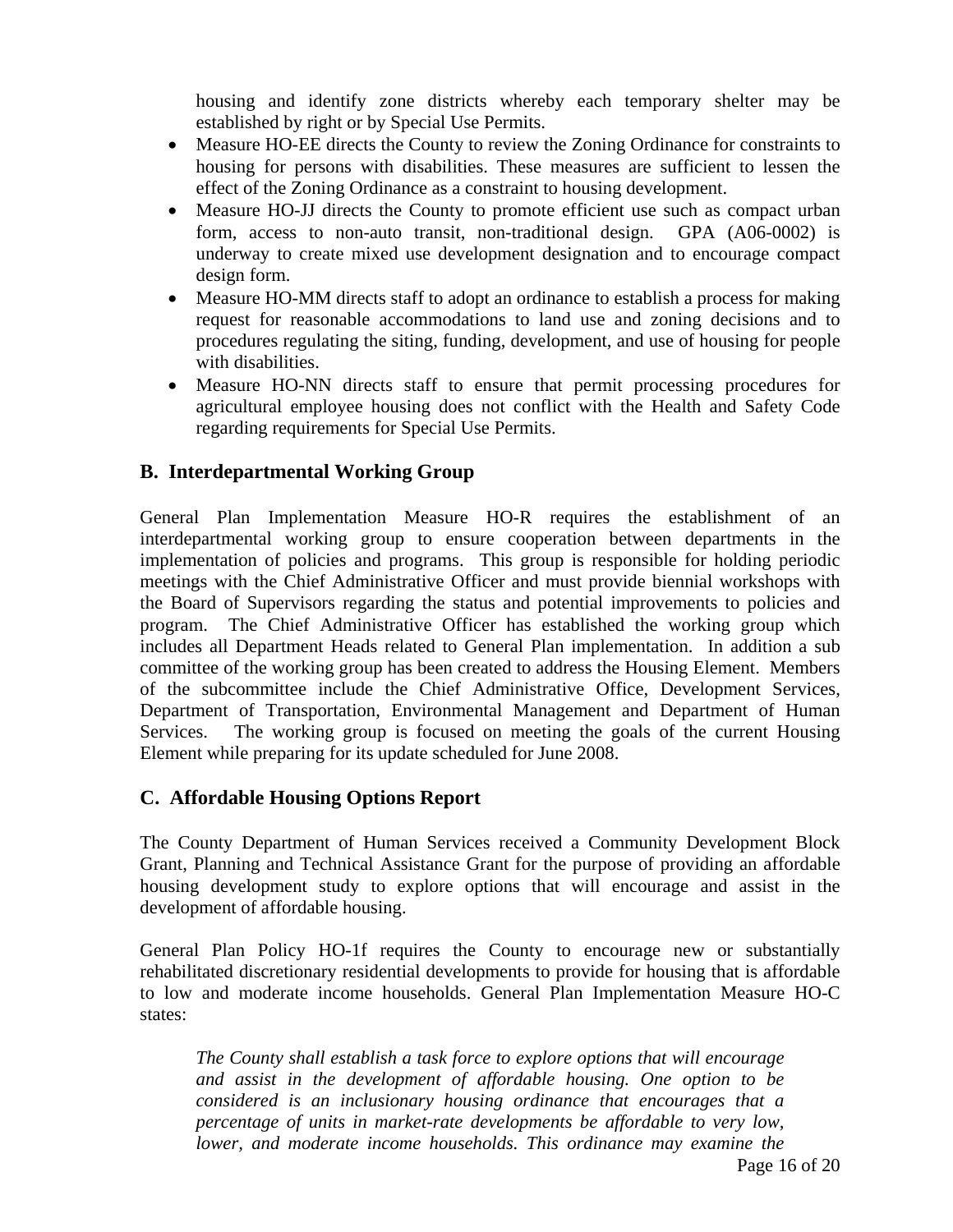housing and identify zone districts whereby each temporary shelter may be established by right or by Special Use Permits.

- Measure HO-EE directs the County to review the Zoning Ordinance for constraints to housing for persons with disabilities. These measures are sufficient to lessen the effect of the Zoning Ordinance as a constraint to housing development.
- Measure HO-JJ directs the County to promote efficient use such as compact urban form, access to non-auto transit, non-traditional design. GPA (A06-0002) is underway to create mixed use development designation and to encourage compact design form.
- Measure HO-MM directs staff to adopt an ordinance to establish a process for making request for reasonable accommodations to land use and zoning decisions and to procedures regulating the siting, funding, development, and use of housing for people with disabilities.
- Measure HO-NN directs staff to ensure that permit processing procedures for agricultural employee housing does not conflict with the Health and Safety Code regarding requirements for Special Use Permits.

## **B. Interdepartmental Working Group**

General Plan Implementation Measure HO-R requires the establishment of an interdepartmental working group to ensure cooperation between departments in the implementation of policies and programs. This group is responsible for holding periodic meetings with the Chief Administrative Officer and must provide biennial workshops with the Board of Supervisors regarding the status and potential improvements to policies and program. The Chief Administrative Officer has established the working group which includes all Department Heads related to General Plan implementation. In addition a sub committee of the working group has been created to address the Housing Element. Members of the subcommittee include the Chief Administrative Office, Development Services, Department of Transportation, Environmental Management and Department of Human Services. The working group is focused on meeting the goals of the current Housing Element while preparing for its update scheduled for June 2008.

#### **C. Affordable Housing Options Report**

The County Department of Human Services received a Community Development Block Grant, Planning and Technical Assistance Grant for the purpose of providing an affordable housing development study to explore options that will encourage and assist in the development of affordable housing.

General Plan Policy HO-1f requires the County to encourage new or substantially rehabilitated discretionary residential developments to provide for housing that is affordable to low and moderate income households. General Plan Implementation Measure HO-C states:

*The County shall establish a task force to explore options that will encourage and assist in the development of affordable housing. One option to be considered is an inclusionary housing ordinance that encourages that a percentage of units in market-rate developments be affordable to very low, lower, and moderate income households. This ordinance may examine the*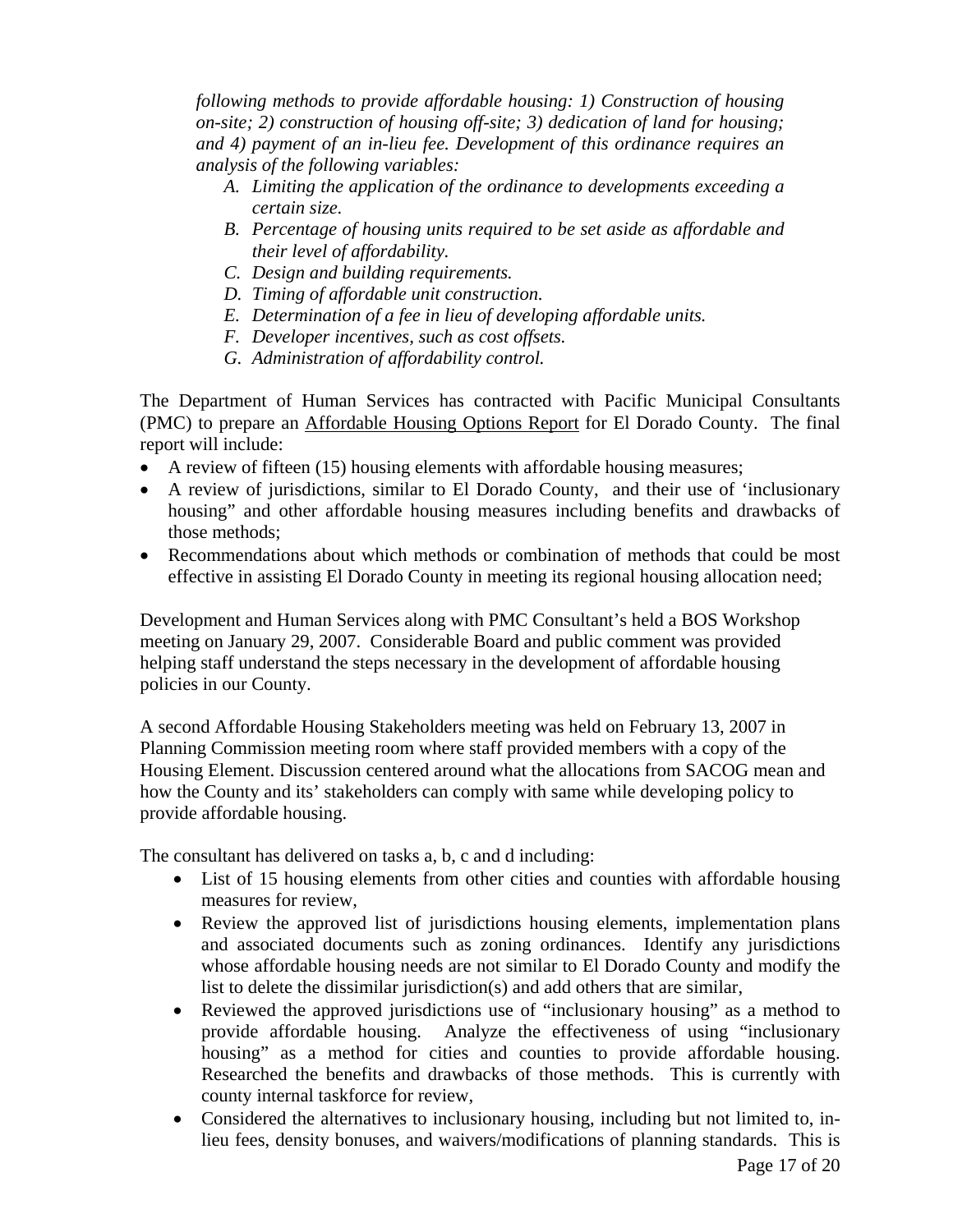*following methods to provide affordable housing: 1) Construction of housing on-site; 2) construction of housing off-site; 3) dedication of land for housing; and 4) payment of an in-lieu fee. Development of this ordinance requires an analysis of the following variables:* 

- *A. Limiting the application of the ordinance to developments exceeding a certain size.*
- *B. Percentage of housing units required to be set aside as affordable and their level of affordability.*
- *C. Design and building requirements.*
- *D. Timing of affordable unit construction.*
- *E. Determination of a fee in lieu of developing affordable units.*
- *F. Developer incentives, such as cost offsets.*
- *G. Administration of affordability control.*

The Department of Human Services has contracted with Pacific Municipal Consultants (PMC) to prepare an Affordable Housing Options Report for El Dorado County. The final report will include:

- A review of fifteen (15) housing elements with affordable housing measures;
- A review of jurisdictions, similar to El Dorado County, and their use of 'inclusionary housing" and other affordable housing measures including benefits and drawbacks of those methods;
- Recommendations about which methods or combination of methods that could be most effective in assisting El Dorado County in meeting its regional housing allocation need;

Development and Human Services along with PMC Consultant's held a BOS Workshop meeting on January 29, 2007. Considerable Board and public comment was provided helping staff understand the steps necessary in the development of affordable housing policies in our County.

A second Affordable Housing Stakeholders meeting was held on February 13, 2007 in Planning Commission meeting room where staff provided members with a copy of the Housing Element. Discussion centered around what the allocations from SACOG mean and how the County and its' stakeholders can comply with same while developing policy to provide affordable housing.

The consultant has delivered on tasks a, b, c and d including:

- List of 15 housing elements from other cities and counties with affordable housing measures for review,
- Review the approved list of jurisdictions housing elements, implementation plans and associated documents such as zoning ordinances. Identify any jurisdictions whose affordable housing needs are not similar to El Dorado County and modify the list to delete the dissimilar jurisdiction(s) and add others that are similar,
- Reviewed the approved jurisdictions use of "inclusionary housing" as a method to provide affordable housing. Analyze the effectiveness of using "inclusionary housing" as a method for cities and counties to provide affordable housing. Researched the benefits and drawbacks of those methods. This is currently with county internal taskforce for review,
- Considered the alternatives to inclusionary housing, including but not limited to, inlieu fees, density bonuses, and waivers/modifications of planning standards. This is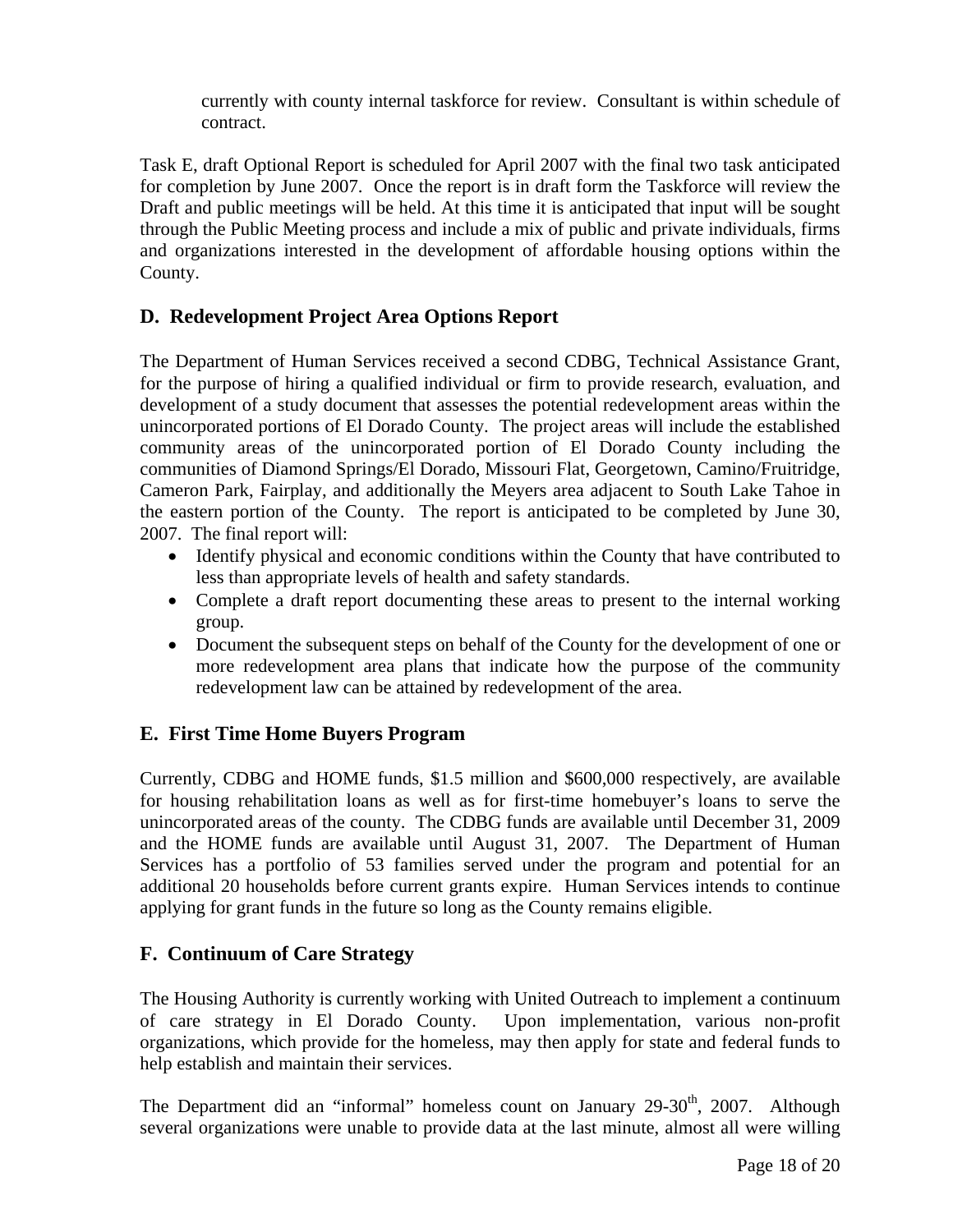currently with county internal taskforce for review. Consultant is within schedule of contract.

Task E, draft Optional Report is scheduled for April 2007 with the final two task anticipated for completion by June 2007. Once the report is in draft form the Taskforce will review the Draft and public meetings will be held. At this time it is anticipated that input will be sought through the Public Meeting process and include a mix of public and private individuals, firms and organizations interested in the development of affordable housing options within the County.

## **D. Redevelopment Project Area Options Report**

The Department of Human Services received a second CDBG, Technical Assistance Grant, for the purpose of hiring a qualified individual or firm to provide research, evaluation, and development of a study document that assesses the potential redevelopment areas within the unincorporated portions of El Dorado County. The project areas will include the established community areas of the unincorporated portion of El Dorado County including the communities of Diamond Springs/El Dorado, Missouri Flat, Georgetown, Camino/Fruitridge, Cameron Park, Fairplay, and additionally the Meyers area adjacent to South Lake Tahoe in the eastern portion of the County. The report is anticipated to be completed by June 30, 2007. The final report will:

- Identify physical and economic conditions within the County that have contributed to less than appropriate levels of health and safety standards.
- Complete a draft report documenting these areas to present to the internal working group.
- Document the subsequent steps on behalf of the County for the development of one or more redevelopment area plans that indicate how the purpose of the community redevelopment law can be attained by redevelopment of the area.

## **E. First Time Home Buyers Program**

Currently, CDBG and HOME funds, \$1.5 million and \$600,000 respectively, are available for housing rehabilitation loans as well as for first-time homebuyer's loans to serve the unincorporated areas of the county. The CDBG funds are available until December 31, 2009 and the HOME funds are available until August 31, 2007. The Department of Human Services has a portfolio of 53 families served under the program and potential for an additional 20 households before current grants expire. Human Services intends to continue applying for grant funds in the future so long as the County remains eligible.

## **F. Continuum of Care Strategy**

The Housing Authority is currently working with United Outreach to implement a continuum of care strategy in El Dorado County. Upon implementation, various non-profit organizations, which provide for the homeless, may then apply for state and federal funds to help establish and maintain their services.

The Department did an "informal" homeless count on January  $29-30<sup>th</sup>$ ,  $2007$ . Although several organizations were unable to provide data at the last minute, almost all were willing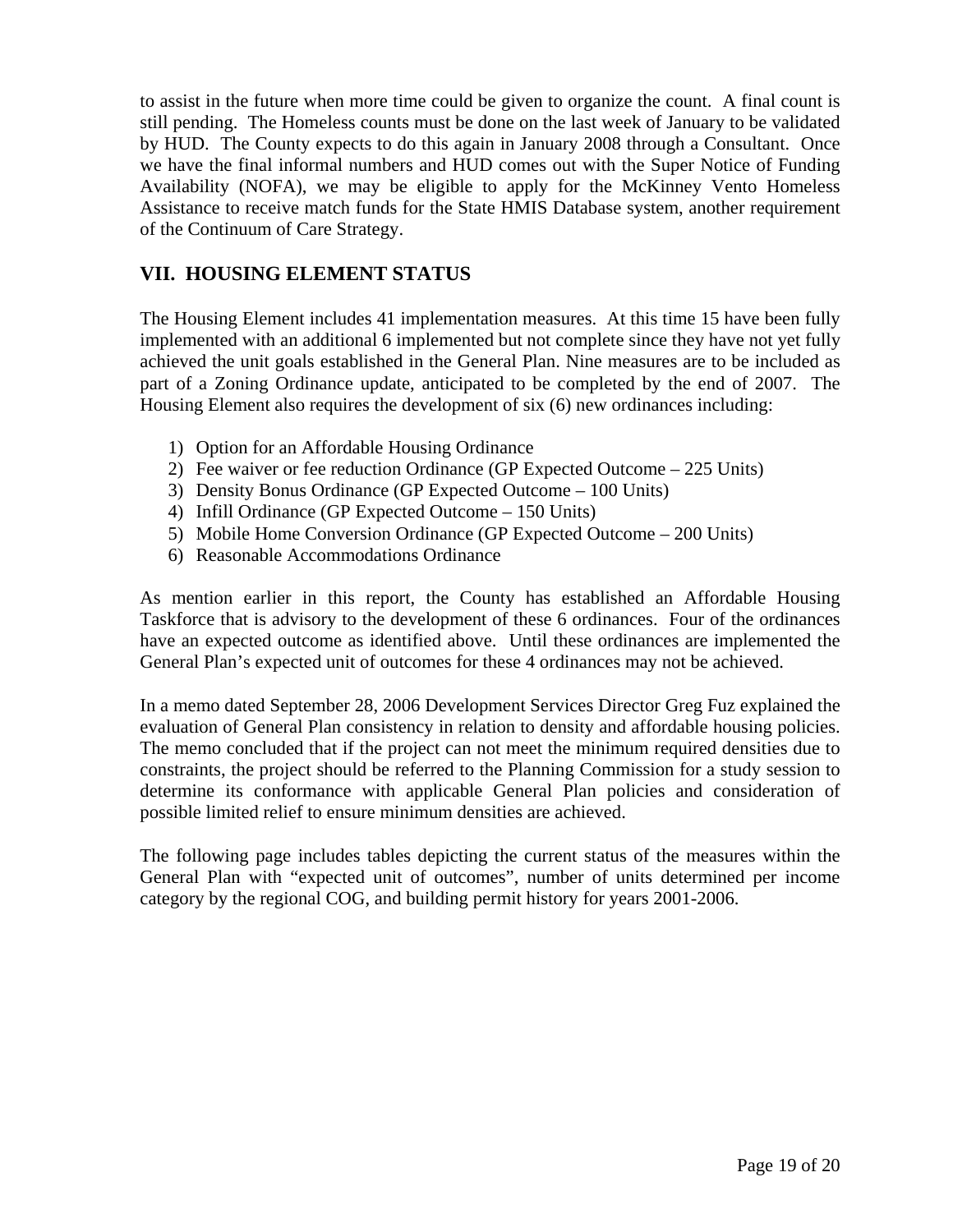to assist in the future when more time could be given to organize the count. A final count is still pending. The Homeless counts must be done on the last week of January to be validated by HUD. The County expects to do this again in January 2008 through a Consultant. Once we have the final informal numbers and HUD comes out with the Super Notice of Funding Availability (NOFA), we may be eligible to apply for the McKinney Vento Homeless Assistance to receive match funds for the State HMIS Database system, another requirement of the Continuum of Care Strategy.

## **VII. HOUSING ELEMENT STATUS**

The Housing Element includes 41 implementation measures. At this time 15 have been fully implemented with an additional 6 implemented but not complete since they have not yet fully achieved the unit goals established in the General Plan. Nine measures are to be included as part of a Zoning Ordinance update, anticipated to be completed by the end of 2007. The Housing Element also requires the development of six (6) new ordinances including:

- 1) Option for an Affordable Housing Ordinance
- 2) Fee waiver or fee reduction Ordinance (GP Expected Outcome 225 Units)
- 3) Density Bonus Ordinance (GP Expected Outcome 100 Units)
- 4) Infill Ordinance (GP Expected Outcome 150 Units)
- 5) Mobile Home Conversion Ordinance (GP Expected Outcome 200 Units)
- 6) Reasonable Accommodations Ordinance

As mention earlier in this report, the County has established an Affordable Housing Taskforce that is advisory to the development of these 6 ordinances. Four of the ordinances have an expected outcome as identified above. Until these ordinances are implemented the General Plan's expected unit of outcomes for these 4 ordinances may not be achieved.

In a memo dated September 28, 2006 Development Services Director Greg Fuz explained the evaluation of General Plan consistency in relation to density and affordable housing policies. The memo concluded that if the project can not meet the minimum required densities due to constraints, the project should be referred to the Planning Commission for a study session to determine its conformance with applicable General Plan policies and consideration of possible limited relief to ensure minimum densities are achieved.

The following page includes tables depicting the current status of the measures within the General Plan with "expected unit of outcomes", number of units determined per income category by the regional COG, and building permit history for years 2001-2006.